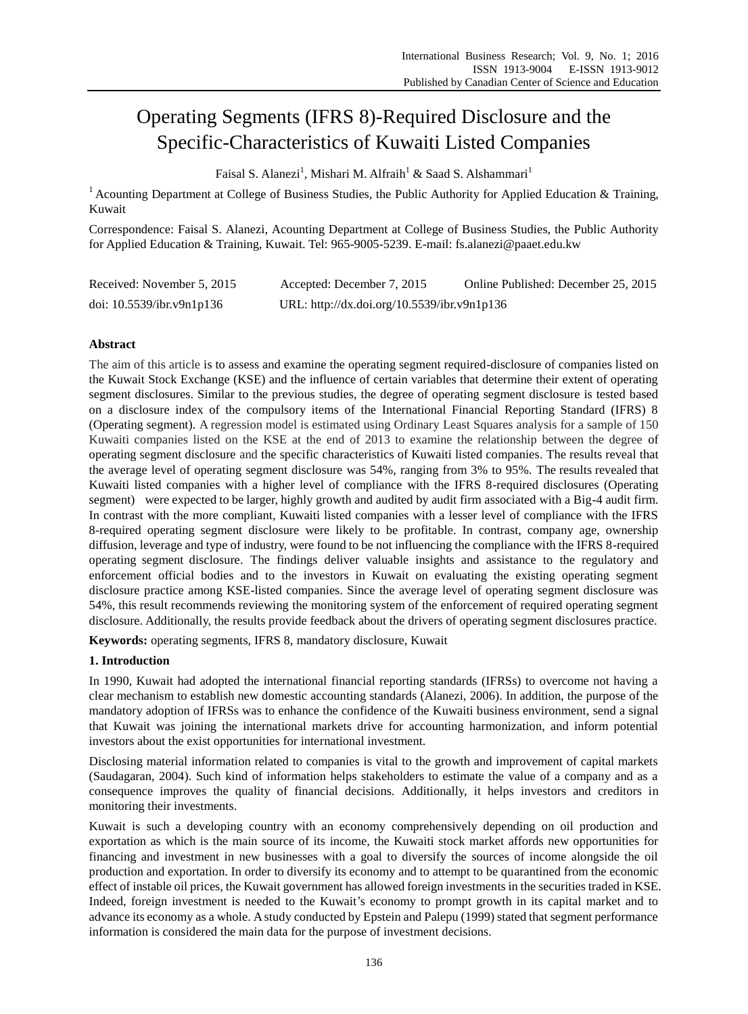# Operating Segments (IFRS 8)-Required Disclosure and the Specific-Characteristics of Kuwaiti Listed Companies

Faisal S. Alanezi<sup>1</sup>, Mishari M. Alfraih<sup>1</sup> & Saad S. Alshammari<sup>1</sup>

<sup>1</sup> Acounting Department at College of Business Studies, the Public Authority for Applied Education & Training, Kuwait

Correspondence: Faisal S. Alanezi, Acounting Department at College of Business Studies, the Public Authority for Applied Education & Training, Kuwait. Tel: 965-9005-5239. E-mail: fs.alanezi@paaet.edu.kw

| Received: November 5, 2015   | Accepted: December 7, 2015                  | Online Published: December 25, 2015 |
|------------------------------|---------------------------------------------|-------------------------------------|
| doi: $10.5539$ /ibr.v9n1p136 | URL: http://dx.doi.org/10.5539/ibr.v9n1p136 |                                     |

# **Abstract**

The aim of this article is to assess and examine the operating segment required-disclosure of companies listed on the Kuwait Stock Exchange (KSE) and the influence of certain variables that determine their extent of operating segment disclosures. Similar to the previous studies, the degree of operating segment disclosure is tested based on a disclosure index of the compulsory items of the International Financial Reporting Standard (IFRS) 8 (Operating segment). A regression model is estimated using Ordinary Least Squares analysis for a sample of 150 Kuwaiti companies listed on the KSE at the end of 2013 to examine the relationship between the degree of operating segment disclosure and the specific characteristics of Kuwaiti listed companies. The results reveal that the average level of operating segment disclosure was 54%, ranging from 3% to 95%. The results revealed that Kuwaiti listed companies with a higher level of compliance with the IFRS 8-required disclosures (Operating segment) were expected to be larger, highly growth and audited by audit firm associated with a Big-4 audit firm. In contrast with the more compliant, Kuwaiti listed companies with a lesser level of compliance with the IFRS 8-required operating segment disclosure were likely to be profitable. In contrast, company age, ownership diffusion, leverage and type of industry, were found to be not influencing the compliance with the IFRS 8-required operating segment disclosure. The findings deliver valuable insights and assistance to the regulatory and enforcement official bodies and to the investors in Kuwait on evaluating the existing operating segment disclosure practice among KSE-listed companies. Since the average level of operating segment disclosure was 54%, this result recommends reviewing the monitoring system of the enforcement of required operating segment disclosure. Additionally, the results provide feedback about the drivers of operating segment disclosures practice.

**Keywords:** operating segments, IFRS 8, mandatory disclosure, Kuwait

# **1. Introduction**

In 1990, Kuwait had adopted the international financial reporting standards (IFRSs) to overcome not having a clear mechanism to establish new domestic accounting standards (Alanezi, 2006). In addition, the purpose of the mandatory adoption of IFRSs was to enhance the confidence of the Kuwaiti business environment, send a signal that Kuwait was joining the international markets drive for accounting harmonization, and inform potential investors about the exist opportunities for international investment.

Disclosing material information related to companies is vital to the growth and improvement of capital markets (Saudagaran, 2004). Such kind of information helps stakeholders to estimate the value of a company and as a consequence improves the quality of financial decisions. Additionally, it helps investors and creditors in monitoring their investments.

Kuwait is such a developing country with an economy comprehensively depending on oil production and exportation as which is the main source of its income, the Kuwaiti stock market affords new opportunities for financing and investment in new businesses with a goal to diversify the sources of income alongside the oil production and exportation. In order to diversify its economy and to attempt to be quarantined from the economic effect of instable oil prices, the Kuwait government has allowed foreign investments in the securities traded in KSE. Indeed, foreign investment is needed to the Kuwait's economy to prompt growth in its capital market and to advance its economy as a whole. A study conducted by Epstein and Palepu (1999) stated that segment performance information is considered the main data for the purpose of investment decisions.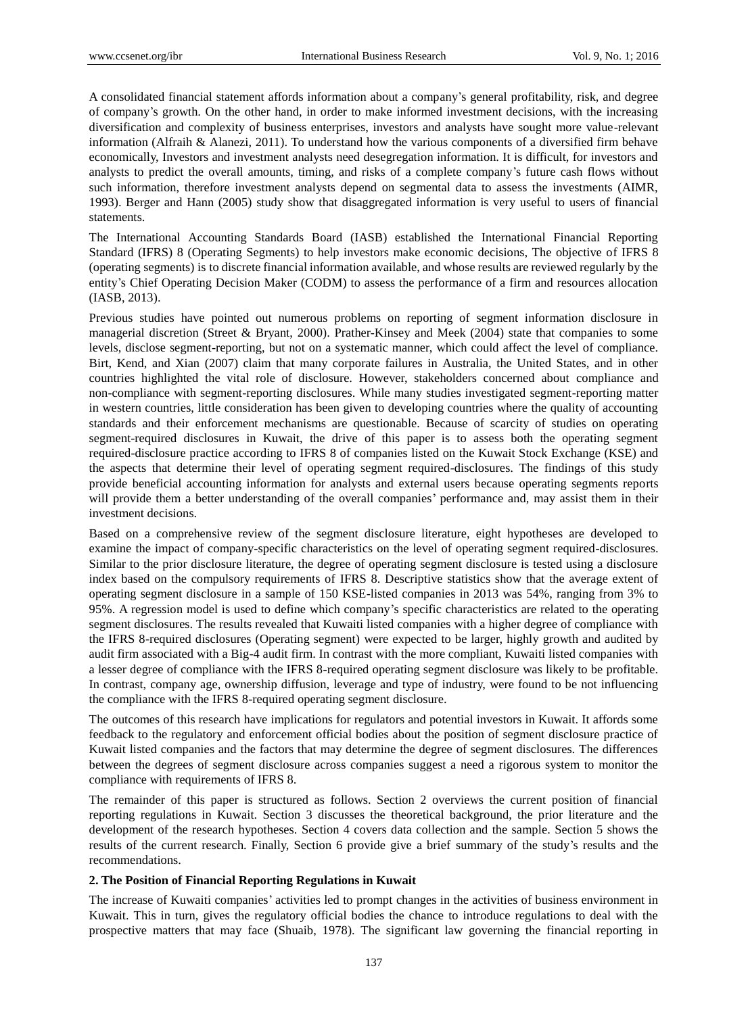A consolidated financial statement affords information about a company's general profitability, risk, and degree of company's growth. On the other hand, in order to make informed investment decisions, with the increasing diversification and complexity of business enterprises, investors and analysts have sought more value-relevant information (Alfraih & Alanezi, 2011). To understand how the various components of a diversified firm behave economically, Investors and investment analysts need desegregation information. It is difficult, for investors and analysts to predict the overall amounts, timing, and risks of a complete company's future cash flows without such information, therefore investment analysts depend on segmental data to assess the investments (AIMR, 1993). Berger and Hann (2005) study show that disaggregated information is very useful to users of financial statements.

The International Accounting Standards Board (IASB) established the International Financial Reporting Standard (IFRS) 8 (Operating Segments) to help investors make economic decisions, The objective of IFRS 8 (operating segments) is to discrete financial information available, and whose results are reviewed regularly by the entity's Chief Operating Decision Maker (CODM) to assess the performance of a firm and resources allocation (IASB, 2013).

Previous studies have pointed out numerous problems on reporting of segment information disclosure in managerial discretion (Street & Bryant, 2000). Prather-Kinsey and Meek (2004) state that companies to some levels, disclose segment-reporting, but not on a systematic manner, which could affect the level of compliance. Birt, Kend, and Xian (2007) claim that many corporate failures in Australia, the United States, and in other countries highlighted the vital role of disclosure. However, stakeholders concerned about compliance and non-compliance with segment-reporting disclosures. While many studies investigated segment-reporting matter in western countries, little consideration has been given to developing countries where the quality of accounting standards and their enforcement mechanisms are questionable. Because of scarcity of studies on operating segment-required disclosures in Kuwait, the drive of this paper is to assess both the operating segment required-disclosure practice according to IFRS 8 of companies listed on the Kuwait Stock Exchange (KSE) and the aspects that determine their level of operating segment required-disclosures. The findings of this study provide beneficial accounting information for analysts and external users because operating segments reports will provide them a better understanding of the overall companies' performance and, may assist them in their investment decisions.

Based on a comprehensive review of the segment disclosure literature, eight hypotheses are developed to examine the impact of company-specific characteristics on the level of operating segment required-disclosures. Similar to the prior disclosure literature, the degree of operating segment disclosure is tested using a disclosure index based on the compulsory requirements of IFRS 8. Descriptive statistics show that the average extent of operating segment disclosure in a sample of 150 KSE-listed companies in 2013 was 54%, ranging from 3% to 95%. A regression model is used to define which company's specific characteristics are related to the operating segment disclosures. The results revealed that Kuwaiti listed companies with a higher degree of compliance with the IFRS 8-required disclosures (Operating segment) were expected to be larger, highly growth and audited by audit firm associated with a Big-4 audit firm. In contrast with the more compliant, Kuwaiti listed companies with a lesser degree of compliance with the IFRS 8-required operating segment disclosure was likely to be profitable. In contrast, company age, ownership diffusion, leverage and type of industry, were found to be not influencing the compliance with the IFRS 8-required operating segment disclosure.

The outcomes of this research have implications for regulators and potential investors in Kuwait. It affords some feedback to the regulatory and enforcement official bodies about the position of segment disclosure practice of Kuwait listed companies and the factors that may determine the degree of segment disclosures. The differences between the degrees of segment disclosure across companies suggest a need a rigorous system to monitor the compliance with requirements of IFRS 8.

The remainder of this paper is structured as follows. Section 2 overviews the current position of financial reporting regulations in Kuwait. Section 3 discusses the theoretical background, the prior literature and the development of the research hypotheses. Section 4 covers data collection and the sample. Section 5 shows the results of the current research. Finally, Section 6 provide give a brief summary of the study's results and the recommendations.

## **2. The Position of Financial Reporting Regulations in Kuwait**

The increase of Kuwaiti companies' activities led to prompt changes in the activities of business environment in Kuwait. This in turn, gives the regulatory official bodies the chance to introduce regulations to deal with the prospective matters that may face (Shuaib, 1978). The significant law governing the financial reporting in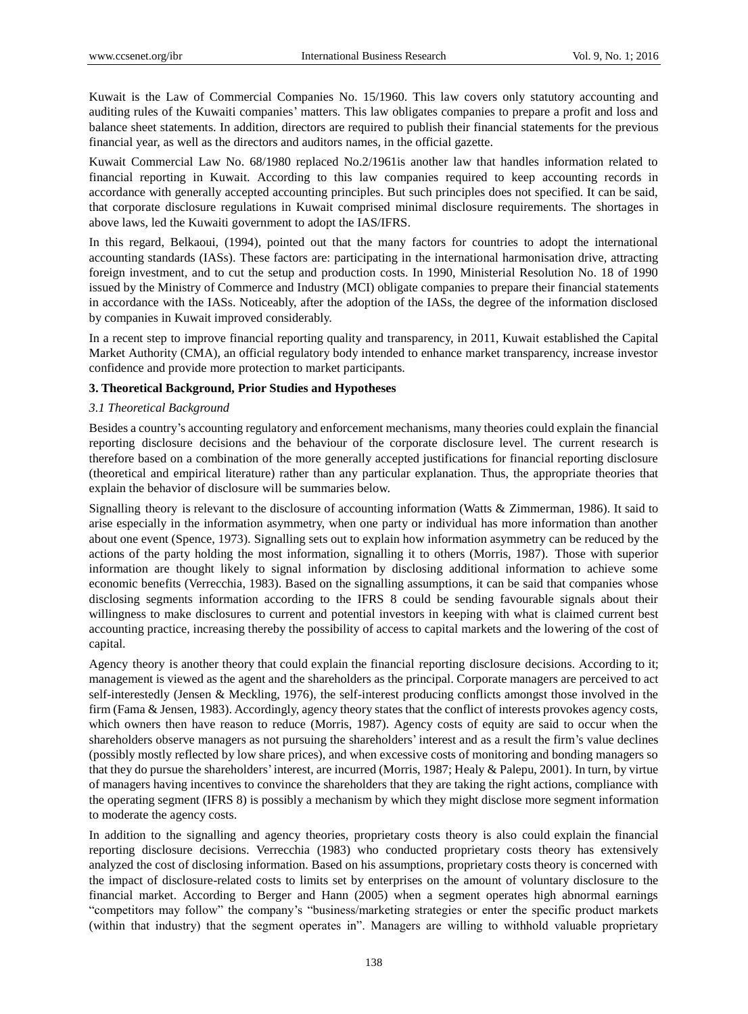Kuwait is the Law of Commercial Companies No. 15/1960. This law covers only statutory accounting and auditing rules of the Kuwaiti companies' matters. This law obligates companies to prepare a profit and loss and balance sheet statements. In addition, directors are required to publish their financial statements for the previous financial year, as well as the directors and auditors names, in the official gazette.

Kuwait Commercial Law No. 68/1980 replaced No.2/1961is another law that handles information related to financial reporting in Kuwait. According to this law companies required to keep accounting records in accordance with generally accepted accounting principles. But such principles does not specified. It can be said, that corporate disclosure regulations in Kuwait comprised minimal disclosure requirements. The shortages in above laws, led the Kuwaiti government to adopt the IAS/IFRS.

In this regard, Belkaoui, (1994), pointed out that the many factors for countries to adopt the international accounting standards (IASs). These factors are: participating in the international harmonisation drive, attracting foreign investment, and to cut the setup and production costs. In 1990, Ministerial Resolution No. 18 of 1990 issued by the Ministry of Commerce and Industry (MCI) obligate companies to prepare their financial statements in accordance with the IASs. Noticeably, after the adoption of the IASs, the degree of the information disclosed by companies in Kuwait improved considerably.

In a recent step to improve financial reporting quality and transparency, in 2011, Kuwait established the Capital Market Authority (CMA), an official regulatory body intended to enhance market transparency, increase investor confidence and provide more protection to market participants.

# **3. Theoretical Background, Prior Studies and Hypotheses**

# *3.1 Theoretical Background*

Besides a country's accounting regulatory and enforcement mechanisms, many theories could explain the financial reporting disclosure decisions and the behaviour of the corporate disclosure level. The current research is therefore based on a combination of the more generally accepted justifications for financial reporting disclosure (theoretical and empirical literature) rather than any particular explanation. Thus, the appropriate theories that explain the behavior of disclosure will be summaries below.

Signalling theory is relevant to the disclosure of accounting information (Watts & Zimmerman, 1986). It said to arise especially in the information asymmetry, when one party or individual has more information than another about one event (Spence, 1973). Signalling sets out to explain how information asymmetry can be reduced by the actions of the party holding the most information, signalling it to others (Morris, 1987). Those with superior information are thought likely to signal information by disclosing additional information to achieve some economic benefits (Verrecchia, 1983). Based on the signalling assumptions, it can be said that companies whose disclosing segments information according to the IFRS 8 could be sending favourable signals about their willingness to make disclosures to current and potential investors in keeping with what is claimed current best accounting practice, increasing thereby the possibility of access to capital markets and the lowering of the cost of capital.

Agency theory is another theory that could explain the financial reporting disclosure decisions. According to it; management is viewed as the agent and the shareholders as the principal. Corporate managers are perceived to act self-interestedly (Jensen & Meckling, 1976), the self-interest producing conflicts amongst those involved in the firm (Fama & Jensen, 1983). Accordingly, agency theory states that the conflict of interests provokes agency costs, which owners then have reason to reduce (Morris, 1987). Agency costs of equity are said to occur when the shareholders observe managers as not pursuing the shareholders' interest and as a result the firm's value declines (possibly mostly reflected by low share prices), and when excessive costs of monitoring and bonding managers so that they do pursue the shareholders'interest, are incurred (Morris, 1987; Healy & Palepu, 2001). In turn, by virtue of managers having incentives to convince the shareholders that they are taking the right actions, compliance with the operating segment (IFRS 8) is possibly a mechanism by which they might disclose more segment information to moderate the agency costs.

In addition to the signalling and agency theories, proprietary costs theory is also could explain the financial reporting disclosure decisions. Verrecchia (1983) who conducted proprietary costs theory has extensively analyzed the cost of disclosing information. Based on his assumptions, proprietary costs theory is concerned with the impact of disclosure-related costs to limits set by enterprises on the amount of voluntary disclosure to the financial market. According to Berger and Hann (2005) when a segment operates high abnormal earnings "competitors may follow" the company's "business/marketing strategies or enter the specific product markets (within that industry) that the segment operates in". Managers are willing to withhold valuable proprietary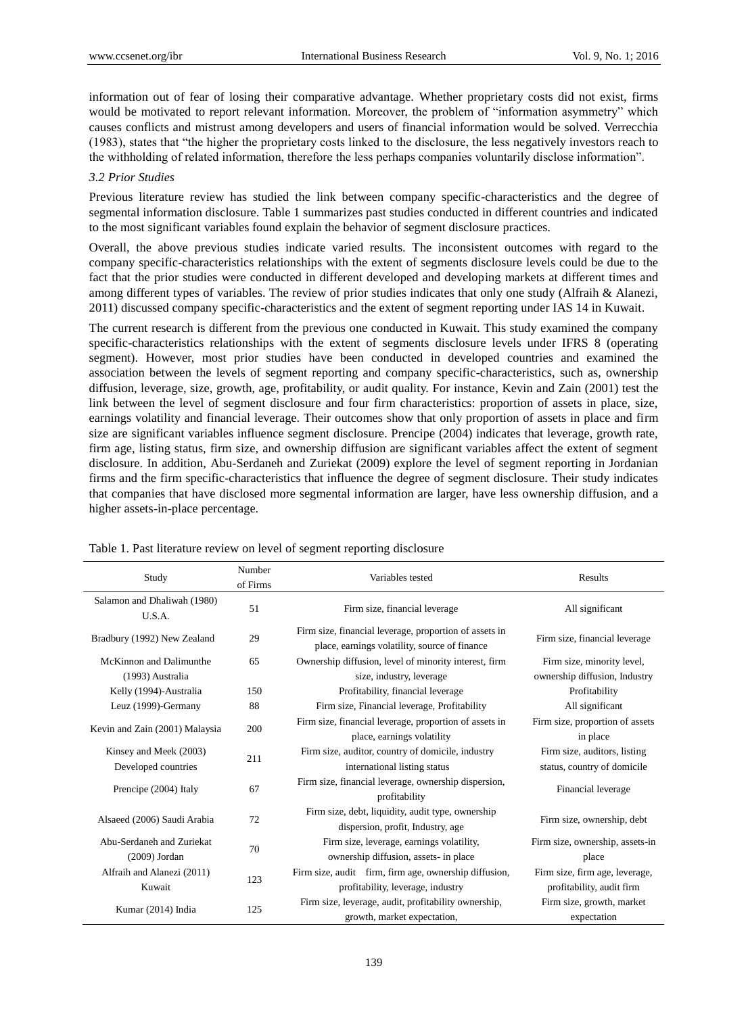information out of fear of losing their comparative advantage. Whether proprietary costs did not exist, firms would be motivated to report relevant information. Moreover, the problem of "information asymmetry" which causes conflicts and mistrust among developers and users of financial information would be solved. Verrecchia (1983), states that "the higher the proprietary costs linked to the disclosure, the less negatively investors reach to the withholding of related information, therefore the less perhaps companies voluntarily disclose information".

## *3.2 Prior Studies*

Previous literature review has studied the link between company specific-characteristics and the degree of segmental information disclosure. Table 1 summarizes past studies conducted in different countries and indicated to the most significant variables found explain the behavior of segment disclosure practices.

Overall, the above previous studies indicate varied results. The inconsistent outcomes with regard to the company specific-characteristics relationships with the extent of segments disclosure levels could be due to the fact that the prior studies were conducted in different developed and developing markets at different times and among different types of variables. The review of prior studies indicates that only one study (Alfraih & Alanezi, 2011) discussed company specific-characteristics and the extent of segment reporting under IAS 14 in Kuwait.

The current research is different from the previous one conducted in Kuwait. This study examined the company specific-characteristics relationships with the extent of segments disclosure levels under IFRS 8 (operating segment). However, most prior studies have been conducted in developed countries and examined the association between the levels of segment reporting and company specific-characteristics, such as, ownership diffusion, leverage, size, growth, age, profitability, or audit quality. For instance, Kevin and Zain (2001) test the link between the level of segment disclosure and four firm characteristics: proportion of assets in place, size, earnings volatility and financial leverage. Their outcomes show that only proportion of assets in place and firm size are significant variables influence segment disclosure. Prencipe (2004) indicates that leverage, growth rate, firm age, listing status, firm size, and ownership diffusion are significant variables affect the extent of segment disclosure. In addition, Abu-Serdaneh and Zuriekat (2009) explore the level of segment reporting in Jordanian firms and the firm specific-characteristics that influence the degree of segment disclosure. Their study indicates that companies that have disclosed more segmental information are larger, have less ownership diffusion, and a higher assets-in-place percentage.

| Study                                 | Number<br>of Firms | Variables tested                                                                                        | Results                         |
|---------------------------------------|--------------------|---------------------------------------------------------------------------------------------------------|---------------------------------|
| Salamon and Dhaliwah (1980)<br>U.S.A. | 51                 | Firm size, financial leverage                                                                           | All significant                 |
| Bradbury (1992) New Zealand           | 29                 | Firm size, financial leverage, proportion of assets in<br>place, earnings volatility, source of finance | Firm size, financial leverage   |
| McKinnon and Dalimunthe               | 65                 | Ownership diffusion, level of minority interest, firm                                                   | Firm size, minority level,      |
| (1993) Australia                      |                    | size, industry, leverage                                                                                | ownership diffusion, Industry   |
| Kelly (1994)-Australia                | 150                | Profitability, financial leverage                                                                       | Profitability                   |
| Leuz (1999)-Germany                   | 88                 | Firm size, Financial leverage, Profitability                                                            | All significant                 |
| Kevin and Zain (2001) Malaysia        | 200                | Firm size, financial leverage, proportion of assets in                                                  | Firm size, proportion of assets |
|                                       |                    | place, earnings volatility                                                                              | in place                        |
| Kinsey and Meek (2003)                | 211                | Firm size, auditor, country of domicile, industry                                                       | Firm size, auditors, listing    |
| Developed countries                   |                    | international listing status                                                                            | status, country of domicile     |
| Prencipe (2004) Italy                 | 67                 | Firm size, financial leverage, ownership dispersion,<br>profitability                                   | Financial leverage              |
| Alsaeed (2006) Saudi Arabia           | 72                 | Firm size, debt, liquidity, audit type, ownership<br>dispersion, profit, Industry, age                  | Firm size, ownership, debt      |
| Abu-Serdaneh and Zuriekat             | 70                 | Firm size, leverage, earnings volatility,                                                               | Firm size, ownership, assets-in |
| $(2009)$ Jordan                       |                    | ownership diffusion, assets- in place                                                                   | place                           |
| Alfraih and Alanezi (2011)            | 123                | Firm size, audit firm, firm age, ownership diffusion,                                                   | Firm size, firm age, leverage,  |
| Kuwait                                |                    | profitability, leverage, industry                                                                       | profitability, audit firm       |
|                                       |                    | Firm size, leverage, audit, profitability ownership,                                                    | Firm size, growth, market       |
| Kumar (2014) India<br>125             |                    | growth, market expectation,                                                                             | expectation                     |

Table 1. Past literature review on level of segment reporting disclosure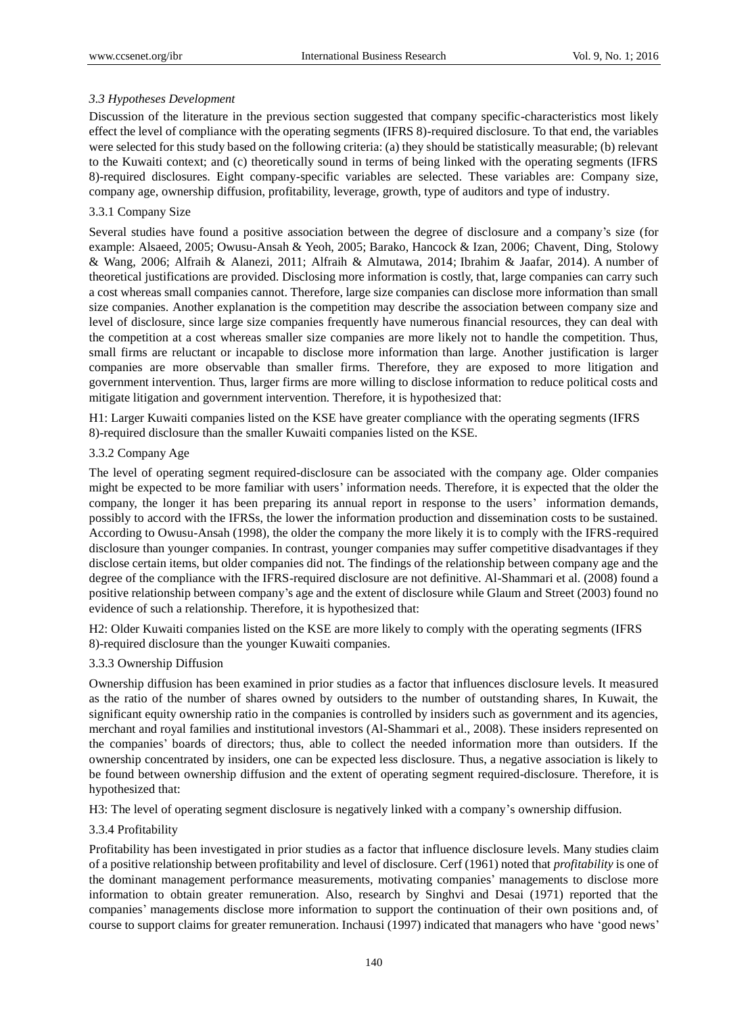# *3.3 Hypotheses Development*

Discussion of the literature in the previous section suggested that company specific-characteristics most likely effect the level of compliance with the operating segments (IFRS 8)-required disclosure. To that end, the variables were selected for this study based on the following criteria: (a) they should be statistically measurable; (b) relevant to the Kuwaiti context; and (c) theoretically sound in terms of being linked with the operating segments (IFRS 8)-required disclosures. Eight company-specific variables are selected. These variables are: Company size, company age, ownership diffusion, profitability, leverage, growth, type of auditors and type of industry.

# 3.3.1 Company Size

Several studies have found a positive association between the degree of disclosure and a company's size (for example: Alsaeed, 2005; Owusu-Ansah & Yeoh, 2005; Barako, Hancock & Izan, 2006; Chavent, Ding, Stolowy & Wang, 2006; Alfraih & Alanezi, 2011; Alfraih & Almutawa, 2014; Ibrahim & Jaafar, 2014). A number of theoretical justifications are provided. Disclosing more information is costly, that, large companies can carry such a cost whereas small companies cannot. Therefore, large size companies can disclose more information than small size companies. Another explanation is the competition may describe the association between company size and level of disclosure, since large size companies frequently have numerous financial resources, they can deal with the competition at a cost whereas smaller size companies are more likely not to handle the competition. Thus, small firms are reluctant or incapable to disclose more information than large. Another justification is larger companies are more observable than smaller firms. Therefore, they are exposed to more litigation and government intervention. Thus, larger firms are more willing to disclose information to reduce political costs and mitigate litigation and government intervention. Therefore, it is hypothesized that:

H1: Larger Kuwaiti companies listed on the KSE have greater compliance with the operating segments (IFRS 8)-required disclosure than the smaller Kuwaiti companies listed on the KSE.

## 3.3.2 Company Age

The level of operating segment required-disclosure can be associated with the company age. Older companies might be expected to be more familiar with users' information needs. Therefore, it is expected that the older the company, the longer it has been preparing its annual report in response to the users' information demands, possibly to accord with the IFRSs, the lower the information production and dissemination costs to be sustained. According to Owusu-Ansah (1998), the older the company the more likely it is to comply with the IFRS-required disclosure than younger companies. In contrast, younger companies may suffer competitive disadvantages if they disclose certain items, but older companies did not. The findings of the relationship between company age and the degree of the compliance with the IFRS-required disclosure are not definitive. Al-Shammari et al. (2008) found a positive relationship between company's age and the extent of disclosure while Glaum and Street (2003) found no evidence of such a relationship. Therefore, it is hypothesized that:

H2: Older Kuwaiti companies listed on the KSE are more likely to comply with the operating segments (IFRS 8)-required disclosure than the younger Kuwaiti companies.

## 3.3.3 Ownership Diffusion

Ownership diffusion has been examined in prior studies as a factor that influences disclosure levels. It measured as the ratio of the number of shares owned by outsiders to the number of outstanding shares, In Kuwait, the significant equity ownership ratio in the companies is controlled by insiders such as government and its agencies, merchant and royal families and institutional investors (Al-Shammari et al., 2008). These insiders represented on the companies' boards of directors; thus, able to collect the needed information more than outsiders. If the ownership concentrated by insiders, one can be expected less disclosure. Thus, a negative association is likely to be found between ownership diffusion and the extent of operating segment required-disclosure. Therefore, it is hypothesized that:

H3: The level of operating segment disclosure is negatively linked with a company's ownership diffusion.

## 3.3.4 Profitability

Profitability has been investigated in prior studies as a factor that influence disclosure levels. Many studies claim of a positive relationship between profitability and level of disclosure. Cerf (1961) noted that *profitability* is one of the dominant management performance measurements, motivating companies' managements to disclose more information to obtain greater remuneration. Also, research by Singhvi and Desai (1971) reported that the companies' managements disclose more information to support the continuation of their own positions and, of course to support claims for greater remuneration. Inchausi (1997) indicated that managers who have 'good news'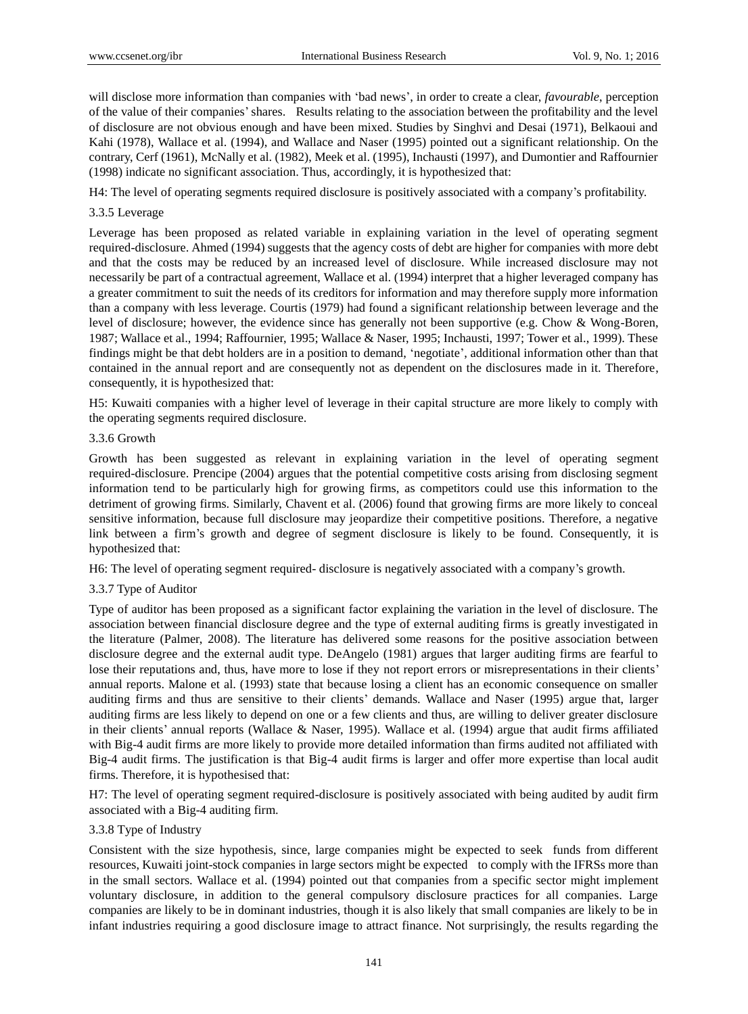will disclose more information than companies with 'bad news', in order to create a clear, *favourable*, perception of the value of their companies'shares. Results relating to the association between the profitability and the level of disclosure are not obvious enough and have been mixed. Studies by Singhvi and Desai (1971), Belkaoui and Kahi (1978), Wallace et al. (1994), and Wallace and Naser (1995) pointed out a significant relationship. On the contrary, Cerf (1961), McNally et al. (1982), Meek et al. (1995), Inchausti (1997), and Dumontier and Raffournier (1998) indicate no significant association. Thus, accordingly, it is hypothesized that:

H4: The level of operating segments required disclosure is positively associated with a company's profitability.

# 3.3.5 Leverage

Leverage has been proposed as related variable in explaining variation in the level of operating segment required-disclosure. Ahmed (1994) suggests that the agency costs of debt are higher for companies with more debt and that the costs may be reduced by an increased level of disclosure. While increased disclosure may not necessarily be part of a contractual agreement, Wallace et al. (1994) interpret that a higher leveraged company has a greater commitment to suit the needs of its creditors for information and may therefore supply more information than a company with less leverage. Courtis (1979) had found a significant relationship between leverage and the level of disclosure; however, the evidence since has generally not been supportive (e.g. Chow & Wong-Boren, 1987; Wallace et al., 1994; Raffournier, 1995; Wallace & Naser, 1995; Inchausti, 1997; Tower et al., 1999). These findings might be that debt holders are in a position to demand, 'negotiate', additional information other than that contained in the annual report and are consequently not as dependent on the disclosures made in it. Therefore, consequently, it is hypothesized that:

H5: Kuwaiti companies with a higher level of leverage in their capital structure are more likely to comply with the operating segments required disclosure.

# 3.3.6 Growth

Growth has been suggested as relevant in explaining variation in the level of operating segment required-disclosure. Prencipe (2004) argues that the potential competitive costs arising from disclosing segment information tend to be particularly high for growing firms, as competitors could use this information to the detriment of growing firms. Similarly, Chavent et al. (2006) found that growing firms are more likely to conceal sensitive information, because full disclosure may jeopardize their competitive positions. Therefore, a negative link between a firm's growth and degree of segment disclosure is likely to be found. Consequently, it is hypothesized that:

H6: The level of operating segment required- disclosure is negatively associated with a company's growth.

# 3.3.7 Type of Auditor

Type of auditor has been proposed as a significant factor explaining the variation in the level of disclosure. The association between financial disclosure degree and the type of external auditing firms is greatly investigated in the literature (Palmer, 2008). The literature has delivered some reasons for the positive association between disclosure degree and the external audit type. DeAngelo (1981) argues that larger auditing firms are fearful to lose their reputations and, thus, have more to lose if they not report errors or misrepresentations in their clients' annual reports. Malone et al. (1993) state that because losing a client has an economic consequence on smaller auditing firms and thus are sensitive to their clients' demands. Wallace and Naser (1995) argue that, larger auditing firms are less likely to depend on one or a few clients and thus, are willing to deliver greater disclosure in their clients' annual reports (Wallace & Naser, 1995). Wallace et al. (1994) argue that audit firms affiliated with Big-4 audit firms are more likely to provide more detailed information than firms audited not affiliated with Big-4 audit firms. The justification is that Big-4 audit firms is larger and offer more expertise than local audit firms. Therefore, it is hypothesised that:

H7: The level of operating segment required-disclosure is positively associated with being audited by audit firm associated with a Big-4 auditing firm.

## 3.3.8 Type of Industry

Consistent with the size hypothesis, since, large companies might be expected to seek funds from different resources, Kuwaiti joint-stock companies in large sectors might be expected to comply with the IFRSs more than in the small sectors. Wallace et al. (1994) pointed out that companies from a specific sector might implement voluntary disclosure, in addition to the general compulsory disclosure practices for all companies. Large companies are likely to be in dominant industries, though it is also likely that small companies are likely to be in infant industries requiring a good disclosure image to attract finance. Not surprisingly, the results regarding the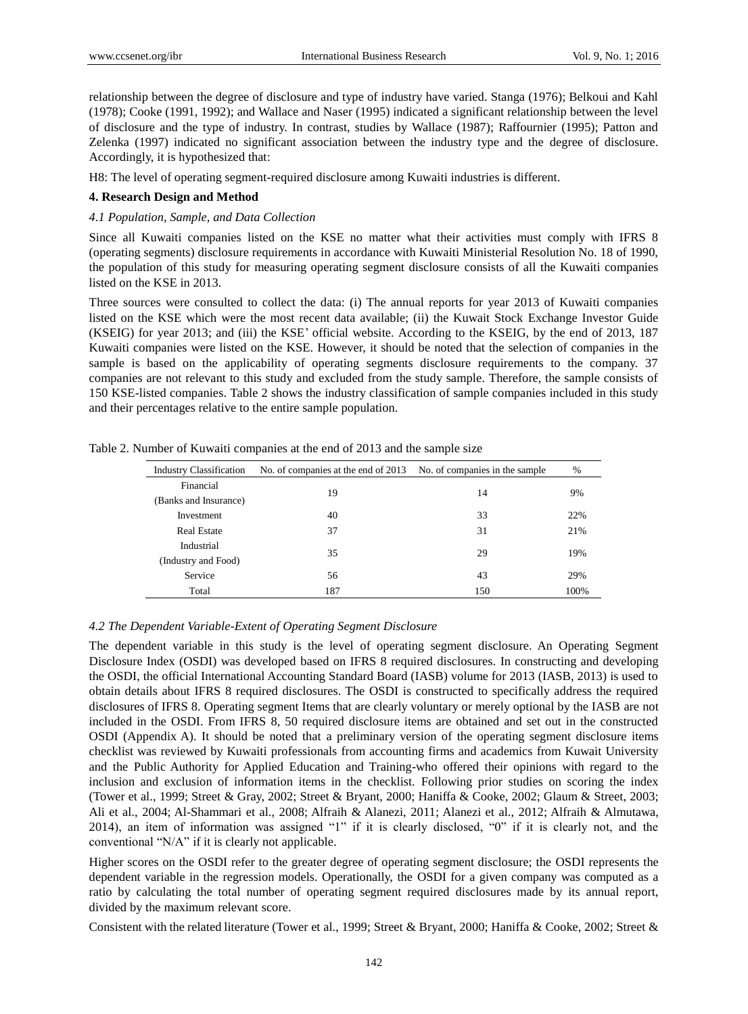relationship between the degree of disclosure and type of industry have varied. Stanga (1976); Belkoui and Kahl (1978); Cooke (1991, 1992); and Wallace and Naser (1995) indicated a significant relationship between the level of disclosure and the type of industry. In contrast, studies by Wallace (1987); Raffournier (1995); Patton and Zelenka (1997) indicated no significant association between the industry type and the degree of disclosure. Accordingly, it is hypothesized that:

H8: The level of operating segment-required disclosure among Kuwaiti industries is different.

# **4. Research Design and Method**

## *4.1 Population, Sample, and Data Collection*

Since all Kuwaiti companies listed on the KSE no matter what their activities must comply with IFRS 8 (operating segments) disclosure requirements in accordance with Kuwaiti Ministerial Resolution No. 18 of 1990, the population of this study for measuring operating segment disclosure consists of all the Kuwaiti companies listed on the KSE in 2013.

Three sources were consulted to collect the data: (i) The annual reports for year 2013 of Kuwaiti companies listed on the KSE which were the most recent data available; (ii) the Kuwait Stock Exchange Investor Guide (KSEIG) for year 2013; and (iii) the KSE' official website. According to the KSEIG, by the end of 2013, 187 Kuwaiti companies were listed on the KSE. However, it should be noted that the selection of companies in the sample is based on the applicability of operating segments disclosure requirements to the company. 37 companies are not relevant to this study and excluded from the study sample. Therefore, the sample consists of 150 KSE-listed companies. Table 2 shows the industry classification of sample companies included in this study and their percentages relative to the entire sample population.

| <b>Industry Classification</b> | No. of companies at the end of 2013 | No. of companies in the sample | $\%$ |
|--------------------------------|-------------------------------------|--------------------------------|------|
| Financial                      | 19                                  |                                |      |
| (Banks and Insurance)          |                                     | 14                             | 9%   |
| Investment                     | 40                                  | 33                             | 22%  |
| <b>Real Estate</b>             | 37                                  | 31                             | 21%  |
| Industrial                     | 35                                  |                                | 19%  |
| (Industry and Food)            |                                     | 29                             |      |
| Service                        | 56                                  | 43                             | 29%  |
| Total                          | 187                                 | 150                            | 100% |

Table 2. Number of Kuwaiti companies at the end of 2013 and the sample size

## *4.2 The Dependent Variable-Extent of Operating Segment Disclosure*

The dependent variable in this study is the level of operating segment disclosure. An Operating Segment Disclosure Index (OSDI) was developed based on IFRS 8 required disclosures. In constructing and developing the OSDI, the official International Accounting Standard Board (IASB) volume for 2013 (IASB, 2013) is used to obtain details about IFRS 8 required disclosures. The OSDI is constructed to specifically address the required disclosures of IFRS 8. Operating segment Items that are clearly voluntary or merely optional by the IASB are not included in the OSDI. From IFRS 8, 50 required disclosure items are obtained and set out in the constructed OSDI (Appendix A). It should be noted that a preliminary version of the operating segment disclosure items checklist was reviewed by Kuwaiti professionals from accounting firms and academics from Kuwait University and the Public Authority for Applied Education and Training-who offered their opinions with regard to the inclusion and exclusion of information items in the checklist. Following prior studies on scoring the index (Tower et al., 1999; Street & Gray, 2002; Street & Bryant, 2000; Haniffa & Cooke, 2002; Glaum & Street, 2003; Ali et al., 2004; Al-Shammari et al., 2008; Alfraih & Alanezi, 2011; Alanezi et al., 2012; Alfraih & Almutawa, 2014), an item of information was assigned "1" if it is clearly disclosed, "0" if it is clearly not, and the conventional "N/A" if it is clearly not applicable.

Higher scores on the OSDI refer to the greater degree of operating segment disclosure; the OSDI represents the dependent variable in the regression models. Operationally, the OSDI for a given company was computed as a ratio by calculating the total number of operating segment required disclosures made by its annual report, divided by the maximum relevant score.

Consistent with the related literature (Tower et al., 1999; Street & Bryant, 2000; Haniffa & Cooke, 2002; Street &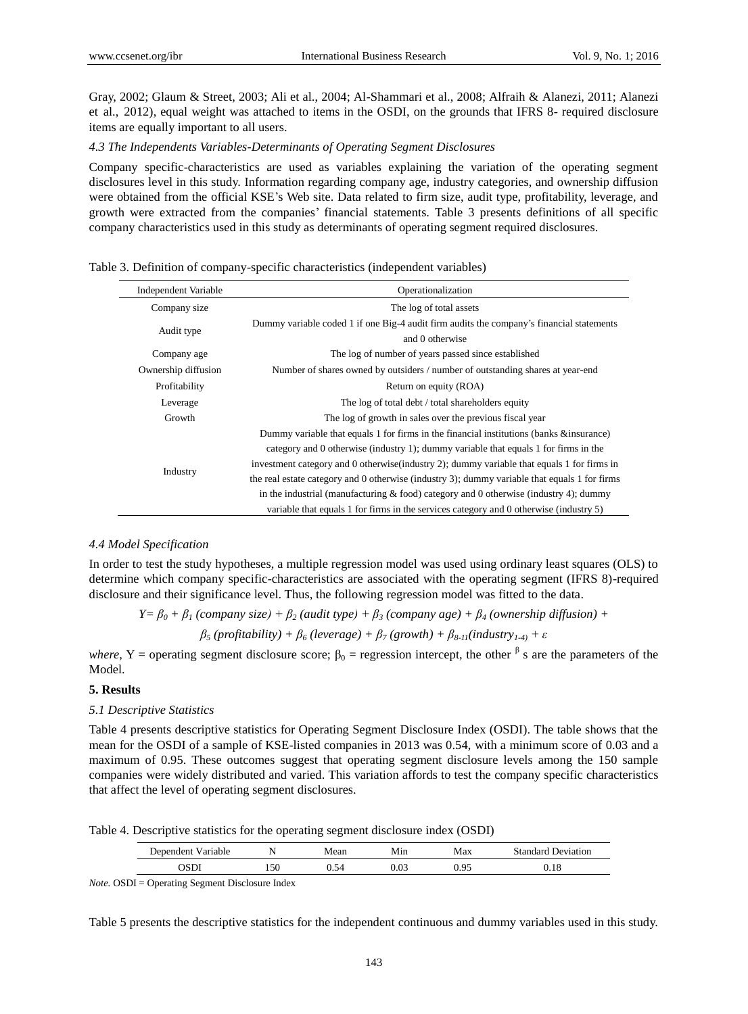Gray, 2002; Glaum & Street, 2003; Ali et al., 2004; Al-Shammari et al., 2008; Alfraih & Alanezi, 2011; Alanezi et al., 2012), equal weight was attached to items in the OSDI, on the grounds that IFRS 8- required disclosure items are equally important to all users.

#### *4.3 The Independents Variables-Determinants of Operating Segment Disclosures*

Company specific-characteristics are used as variables explaining the variation of the operating segment disclosures level in this study. Information regarding company age, industry categories, and ownership diffusion were obtained from the official KSE's Web site. Data related to firm size, audit type, profitability, leverage, and growth were extracted from the companies' financial statements. Table 3 presents definitions of all specific company characteristics used in this study as determinants of operating segment required disclosures.

|  |  |  | Table 3. Definition of company-specific characteristics (independent variables) |  |
|--|--|--|---------------------------------------------------------------------------------|--|
|  |  |  |                                                                                 |  |

| <b>Independent Variable</b> | Operationalization                                                                            |
|-----------------------------|-----------------------------------------------------------------------------------------------|
| Company size                | The log of total assets                                                                       |
|                             | Dummy variable coded 1 if one Big-4 audit firm audits the company's financial statements      |
| Audit type                  | and 0 otherwise                                                                               |
| Company age                 | The log of number of years passed since established                                           |
| Ownership diffusion         | Number of shares owned by outsiders / number of outstanding shares at year-end                |
| Profitability               | Return on equity (ROA)                                                                        |
| Leverage                    | The log of total debt / total shareholders equity                                             |
| Growth                      | The log of growth in sales over the previous fiscal year                                      |
|                             | Dummy variable that equals 1 for firms in the financial institutions (banks & insurance)      |
|                             | category and 0 otherwise (industry 1); dummy variable that equals 1 for firms in the          |
|                             | investment category and 0 otherwise (industry 2); dummy variable that equals 1 for firms in   |
| Industry                    | the real estate category and 0 otherwise (industry 3); dummy variable that equals 1 for firms |
|                             | in the industrial (manufacturing $&$ food) category and 0 otherwise (industry 4); dummy       |
|                             | variable that equals 1 for firms in the services category and 0 otherwise (industry 5)        |

#### *4.4 Model Specification*

In order to test the study hypotheses, a multiple regression model was used using ordinary least squares (OLS) to determine which company specific-characteristics are associated with the operating segment (IFRS 8)-required disclosure and their significance level. Thus, the following regression model was fitted to the data.

*Y* =  $\beta_0$  +  $\beta_1$  (company size) +  $\beta_2$  (audit type) +  $\beta_3$  (company age) +  $\beta_4$  (ownership diffusion) + *β<sup>5</sup> (profitability) + β<sup>6</sup> (leverage) + β<sup>7</sup> (growth) + β8-11(industry1-4) + ε*

*where*, Y = operating segment disclosure score;  $\beta_0$  = regression intercept, the other  $\beta$  s are the parameters of the Model.

## **5. Results**

#### *5.1 Descriptive Statistics*

Table 4 presents descriptive statistics for Operating Segment Disclosure Index (OSDI). The table shows that the mean for the OSDI of a sample of KSE-listed companies in 2013 was 0.54, with a minimum score of 0.03 and a maximum of 0.95. These outcomes suggest that operating segment disclosure levels among the 150 sample companies were widely distributed and varied. This variation affords to test the company specific characteristics that affect the level of operating segment disclosures.

Table 4. Descriptive statistics for the operating segment disclosure index (OSDI)

| ، Jenendent<br>Variable |     | Vlean | Min  | Max<br>чал | standard.<br>Deviation |
|-------------------------|-----|-------|------|------------|------------------------|
|                         | 150 |       | 0.03 | ∍ 0        | . 10<br>U.IO           |

*Note.* OSDI = Operating Segment Disclosure Index

Table 5 presents the descriptive statistics for the independent continuous and dummy variables used in this study.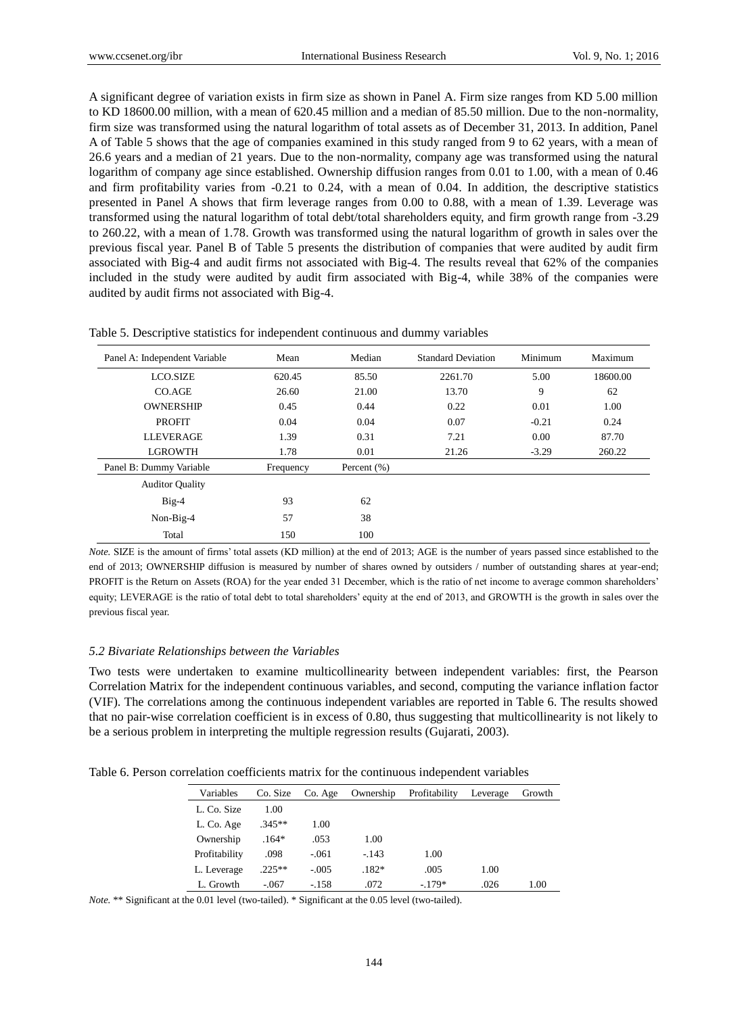A significant degree of variation exists in firm size as shown in Panel A. Firm size ranges from KD 5.00 million to KD 18600.00 million, with a mean of 620.45 million and a median of 85.50 million. Due to the non-normality, firm size was transformed using the natural logarithm of total assets as of December 31, 2013. In addition, Panel A of Table 5 shows that the age of companies examined in this study ranged from 9 to 62 years, with a mean of 26.6 years and a median of 21 years. Due to the non-normality, company age was transformed using the natural logarithm of company age since established. Ownership diffusion ranges from 0.01 to 1.00, with a mean of 0.46 and firm profitability varies from -0.21 to 0.24, with a mean of 0.04. In addition, the descriptive statistics presented in Panel A shows that firm leverage ranges from 0.00 to 0.88, with a mean of 1.39. Leverage was transformed using the natural logarithm of total debt/total shareholders equity, and firm growth range from -3.29 to 260.22, with a mean of 1.78. Growth was transformed using the natural logarithm of growth in sales over the previous fiscal year. Panel B of Table 5 presents the distribution of companies that were audited by audit firm associated with Big-4 and audit firms not associated with Big-4. The results reveal that 62% of the companies included in the study were audited by audit firm associated with Big-4, while 38% of the companies were audited by audit firms not associated with Big-4.

| Panel A: Independent Variable | Mean      | Median          | <b>Standard Deviation</b> | Minimum | Maximum  |
|-------------------------------|-----------|-----------------|---------------------------|---------|----------|
| <b>LCO.SIZE</b>               | 620.45    | 85.50           | 2261.70                   | 5.00    | 18600.00 |
| CO. AGE                       | 26.60     | 21.00           | 13.70                     | 9       | 62       |
| <b>OWNERSHIP</b>              | 0.45      | 0.44            | 0.22                      | 0.01    | 1.00     |
| <b>PROFIT</b>                 | 0.04      | 0.04            | 0.07                      | $-0.21$ | 0.24     |
| <b>LLEVERAGE</b>              | 1.39      | 0.31            | 7.21                      | 0.00    | 87.70    |
| <b>LGROWTH</b>                | 1.78      | 0.01            | 21.26                     | $-3.29$ | 260.22   |
| Panel B: Dummy Variable       | Frequency | Percent $(\% )$ |                           |         |          |
| <b>Auditor Quality</b>        |           |                 |                           |         |          |
| $Big-4$                       | 93        | 62              |                           |         |          |
| Non-Big-4                     | 57        | 38              |                           |         |          |
| Total                         | 150       | 100             |                           |         |          |

Table 5. Descriptive statistics for independent continuous and dummy variables

*Note.* SIZE is the amount of firms' total assets (KD million) at the end of 2013; AGE is the number of years passed since established to the end of 2013; OWNERSHIP diffusion is measured by number of shares owned by outsiders / number of outstanding shares at year-end; PROFIT is the Return on Assets (ROA) for the year ended 31 December, which is the ratio of net income to average common shareholders' equity; LEVERAGE is the ratio of total debt to total shareholders' equity at the end of 2013, and GROWTH is the growth in sales over the previous fiscal year.

#### *5.2 Bivariate Relationships between the Variables*

Two tests were undertaken to examine multicollinearity between independent variables: first, the Pearson Correlation Matrix for the independent continuous variables, and second, computing the variance inflation factor (VIF). The correlations among the continuous independent variables are reported in Table 6. The results showed that no pair-wise correlation coefficient is in excess of 0.80, thus suggesting that multicollinearity is not likely to be a serious problem in interpreting the multiple regression results (Gujarati, 2003).

Table 6. Person correlation coefficients matrix for the continuous independent variables

| Variables     | Co. Size | Co. Age | Ownership | Profitability | Leverage | Growth |
|---------------|----------|---------|-----------|---------------|----------|--------|
| L. Co. Size   | 1.00     |         |           |               |          |        |
| L. Co. Age    | $.345**$ | 1.00    |           |               |          |        |
| Ownership     | $.164*$  | .053    | 1.00      |               |          |        |
| Profitability | .098     | $-.061$ | $-143$    | 1.00          |          |        |
| L. Leverage   | $.225**$ | $-.005$ | $.182*$   | .005          | 1.00     |        |
| L. Growth     | $-.067$  | $-158$  | .072      | $-.179*$      | .026     | 1.00   |

*Note.* \*\* Significant at the 0.01 level (two-tailed). \* Significant at the 0.05 level (two-tailed).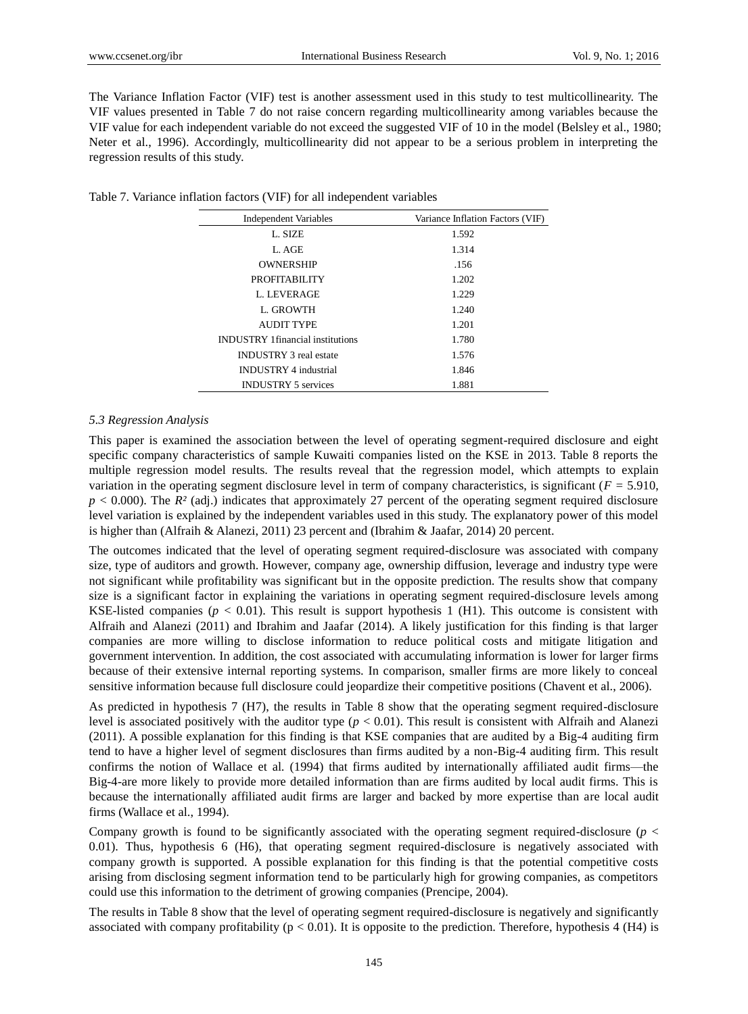The Variance Inflation Factor (VIF) test is another assessment used in this study to test multicollinearity. The VIF values presented in Table 7 do not raise concern regarding multicollinearity among variables because the VIF value for each independent variable do not exceed the suggested VIF of 10 in the model (Belsley et al., 1980; Neter et al., 1996). Accordingly, multicollinearity did not appear to be a serious problem in interpreting the regression results of this study.

Table 7. Variance inflation factors (VIF) for all independent variables

| <b>Independent Variables</b>            | Variance Inflation Factors (VIF) |
|-----------------------------------------|----------------------------------|
| L. SIZE                                 | 1.592                            |
| L. AGE                                  | 1.314                            |
| <b>OWNERSHIP</b>                        | .156                             |
| <b>PROFITABILITY</b>                    | 1.202                            |
| L. LEVERAGE                             | 1.229                            |
| L. GROWTH                               | 1.240                            |
| AUDIT TYPE                              | 1.201                            |
| <b>INDUSTRY 1financial institutions</b> | 1.780                            |
| <b>INDUSTRY 3</b> real estate           | 1.576                            |
| <b>INDUSTRY 4 industrial</b>            | 1.846                            |
| <b>INDUSTRY 5 services</b>              | 1.881                            |

#### *5.3 Regression Analysis*

This paper is examined the association between the level of operating segment-required disclosure and eight specific company characteristics of sample Kuwaiti companies listed on the KSE in 2013. Table 8 reports the multiple regression model results. The results reveal that the regression model, which attempts to explain variation in the operating segment disclosure level in term of company characteristics, is significant (*F =* 5.910,  $p < 0.000$ ). The  $R<sup>2</sup>$  (adj.) indicates that approximately 27 percent of the operating segment required disclosure level variation is explained by the independent variables used in this study. The explanatory power of this model is higher than (Alfraih & Alanezi, 2011) 23 percent and (Ibrahim & Jaafar, 2014) 20 percent.

The outcomes indicated that the level of operating segment required-disclosure was associated with company size, type of auditors and growth. However, company age, ownership diffusion, leverage and industry type were not significant while profitability was significant but in the opposite prediction. The results show that company size is a significant factor in explaining the variations in operating segment required-disclosure levels among KSE-listed companies ( $p < 0.01$ ). This result is support hypothesis 1 (H1). This outcome is consistent with Alfraih and Alanezi (2011) and Ibrahim and Jaafar (2014). A likely justification for this finding is that larger companies are more willing to disclose information to reduce political costs and mitigate litigation and government intervention. In addition, the cost associated with accumulating information is lower for larger firms because of their extensive internal reporting systems. In comparison, smaller firms are more likely to conceal sensitive information because full disclosure could jeopardize their competitive positions (Chavent et al., 2006).

As predicted in hypothesis 7 (H7), the results in Table 8 show that the operating segment required-disclosure level is associated positively with the auditor type (*p* < 0.01). This result is consistent with Alfraih and Alanezi (2011). A possible explanation for this finding is that KSE companies that are audited by a Big-4 auditing firm tend to have a higher level of segment disclosures than firms audited by a non-Big-4 auditing firm. This result confirms the notion of Wallace et al*.* (1994) that firms audited by internationally affiliated audit firms—the Big-4-are more likely to provide more detailed information than are firms audited by local audit firms. This is because the internationally affiliated audit firms are larger and backed by more expertise than are local audit firms (Wallace et al., 1994).

Company growth is found to be significantly associated with the operating segment required-disclosure (*p* < 0.01). Thus, hypothesis 6 (H6), that operating segment required-disclosure is negatively associated with company growth is supported. A possible explanation for this finding is that the potential competitive costs arising from disclosing segment information tend to be particularly high for growing companies, as competitors could use this information to the detriment of growing companies (Prencipe, 2004).

The results in Table 8 show that the level of operating segment required-disclosure is negatively and significantly associated with company profitability ( $p < 0.01$ ). It is opposite to the prediction. Therefore, hypothesis 4 (H4) is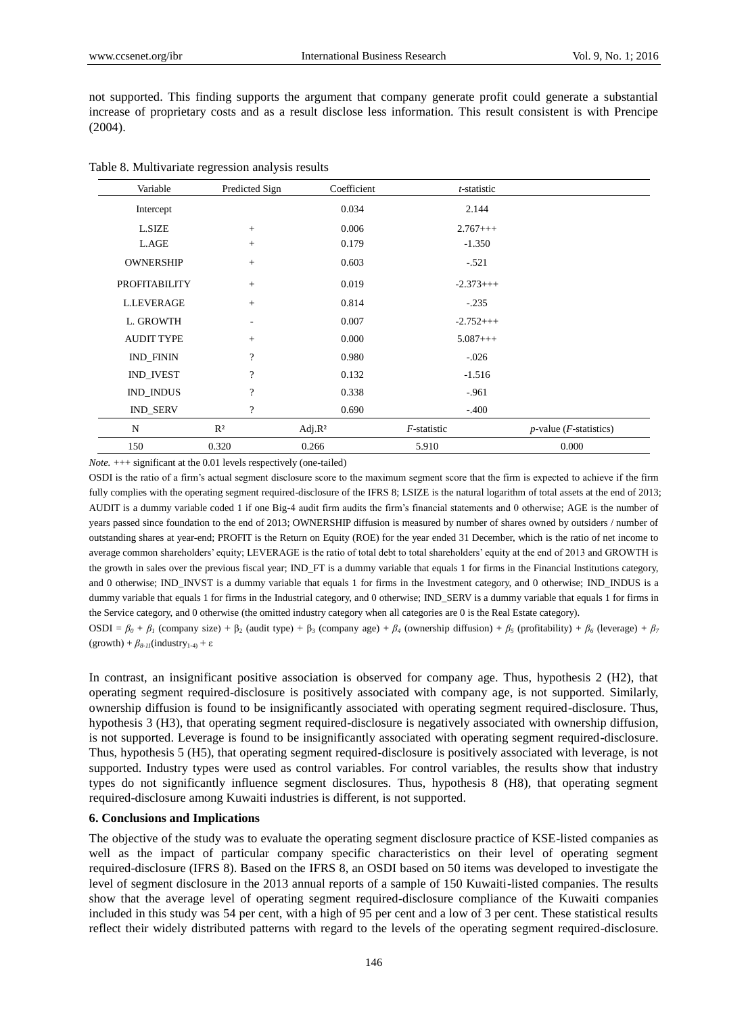not supported. This finding supports the argument that company generate profit could generate a substantial increase of proprietary costs and as a result disclose less information. This result consistent is with Prencipe (2004).

| Table 8. Multivariate regression analysis results |  |  |
|---------------------------------------------------|--|--|
|                                                   |  |  |

| Variable             | Predicted Sign     | Coefficient | t-statistic |                                    |
|----------------------|--------------------|-------------|-------------|------------------------------------|
| Intercept            |                    | 0.034       | 2.144       |                                    |
| L.SIZE               | $+$                | 0.006       | $2.767++$   |                                    |
| L.AGE                | $^{+}$             | 0.179       | $-1.350$    |                                    |
| <b>OWNERSHIP</b>     | $+$                | 0.603       | $-.521$     |                                    |
| <b>PROFITABILITY</b> | $+$                | 0.019       | $-2.373++$  |                                    |
| <b>L.LEVERAGE</b>    | $+$                | 0.814       | $-.235$     |                                    |
| L. GROWTH            | ٠                  | 0.007       | $-2.752++$  |                                    |
| <b>AUDIT TYPE</b>    | $+$                | 0.000       | $5.087++$   |                                    |
| <b>IND_FININ</b>     | $\overline{\cdot}$ | 0.980       | $-.026$     |                                    |
| <b>IND_IVEST</b>     | $\gamma$           | 0.132       | $-1.516$    |                                    |
| IND_INDUS            | $\overline{?}$     | 0.338       | $-0.961$    |                                    |
| <b>IND_SERV</b>      | $\overline{?}$     | 0.690       | $-.400$     |                                    |
| N                    | R <sup>2</sup>     | Adj. $R^2$  | F-statistic | $p$ -value ( <i>F</i> -statistics) |
| 150                  | 0.320              | 0.266       | 5.910       | 0.000                              |

*Note.*  $++$  significant at the 0.01 levels respectively (one-tailed)

OSDI is the ratio of a firm's actual segment disclosure score to the maximum segment score that the firm is expected to achieve if the firm fully complies with the operating segment required-disclosure of the IFRS 8; LSIZE is the natural logarithm of total assets at the end of 2013; AUDIT is a dummy variable coded 1 if one Big-4 audit firm audits the firm's financial statements and 0 otherwise; AGE is the number of years passed since foundation to the end of 2013; OWNERSHIP diffusion is measured by number of shares owned by outsiders / number of outstanding shares at year-end; PROFIT is the Return on Equity (ROE) for the year ended 31 December, which is the ratio of net income to average common shareholders' equity; LEVERAGE is the ratio of total debt to total shareholders' equity at the end of 2013 and GROWTH is the growth in sales over the previous fiscal year; IND\_FT is a dummy variable that equals 1 for firms in the Financial Institutions category, and 0 otherwise; IND\_INVST is a dummy variable that equals 1 for firms in the Investment category, and 0 otherwise; IND\_INDUS is a dummy variable that equals 1 for firms in the Industrial category, and 0 otherwise; IND\_SERV is a dummy variable that equals 1 for firms in the Service category, and 0 otherwise (the omitted industry category when all categories are 0 is the Real Estate category). **OSDI** =  $β_0 + β_1$  (company size) +  $β_2$  (audit type) +  $β_3$  (company age) +  $β_4$  (ownership diffusion) +  $β_5$  (profitability) +  $β_6$  (leverage) +  $β_7$ 

 $(growth) + \beta_{8-11}$ (industry<sub>1-4)</sub> + ε

In contrast, an insignificant positive association is observed for company age. Thus, hypothesis 2 (H2), that operating segment required-disclosure is positively associated with company age, is not supported. Similarly, ownership diffusion is found to be insignificantly associated with operating segment required-disclosure. Thus, hypothesis 3 (H3), that operating segment required-disclosure is negatively associated with ownership diffusion, is not supported. Leverage is found to be insignificantly associated with operating segment required-disclosure. Thus, hypothesis 5 (H5), that operating segment required-disclosure is positively associated with leverage, is not supported. Industry types were used as control variables. For control variables, the results show that industry types do not significantly influence segment disclosures. Thus, hypothesis 8 (H8), that operating segment required-disclosure among Kuwaiti industries is different, is not supported.

#### **6. Conclusions and Implications**

The objective of the study was to evaluate the operating segment disclosure practice of KSE-listed companies as well as the impact of particular company specific characteristics on their level of operating segment required-disclosure (IFRS 8). Based on the IFRS 8, an OSDI based on 50 items was developed to investigate the level of segment disclosure in the 2013 annual reports of a sample of 150 Kuwaiti-listed companies. The results show that the average level of operating segment required-disclosure compliance of the Kuwaiti companies included in this study was 54 per cent, with a high of 95 per cent and a low of 3 per cent. These statistical results reflect their widely distributed patterns with regard to the levels of the operating segment required-disclosure.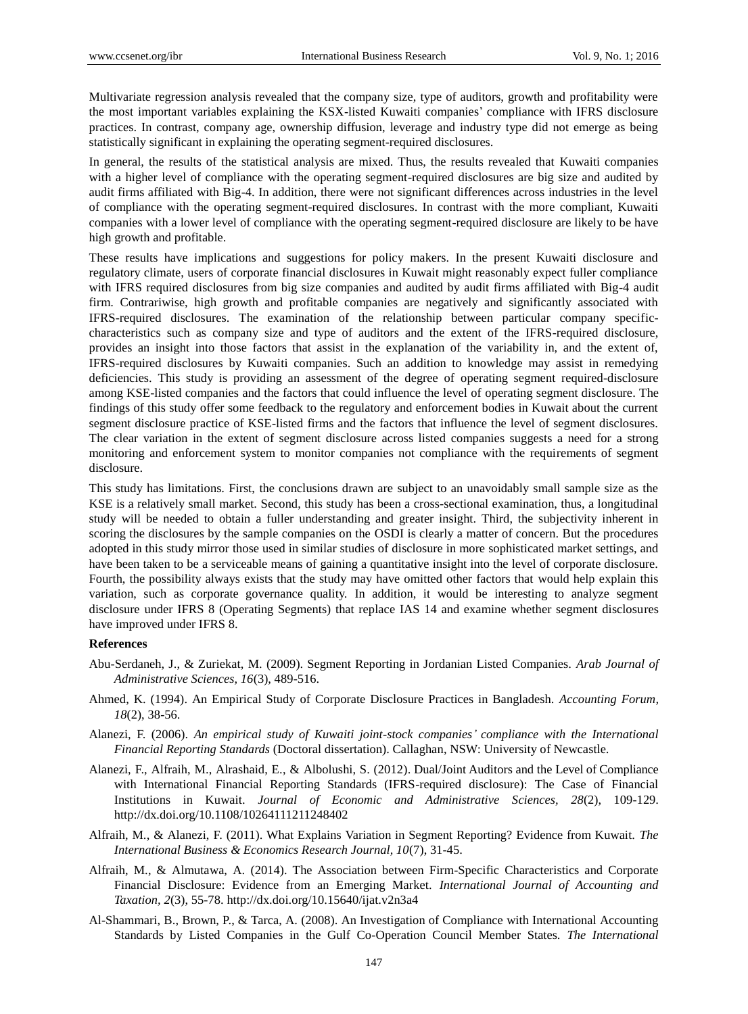Multivariate regression analysis revealed that the company size, type of auditors, growth and profitability were the most important variables explaining the KSX-listed Kuwaiti companies' compliance with IFRS disclosure practices. In contrast, company age, ownership diffusion, leverage and industry type did not emerge as being statistically significant in explaining the operating segment-required disclosures.

In general, the results of the statistical analysis are mixed. Thus, the results revealed that Kuwaiti companies with a higher level of compliance with the operating segment-required disclosures are big size and audited by audit firms affiliated with Big-4. In addition, there were not significant differences across industries in the level of compliance with the operating segment-required disclosures. In contrast with the more compliant, Kuwaiti companies with a lower level of compliance with the operating segment-required disclosure are likely to be have high growth and profitable.

These results have implications and suggestions for policy makers. In the present Kuwaiti disclosure and regulatory climate, users of corporate financial disclosures in Kuwait might reasonably expect fuller compliance with IFRS required disclosures from big size companies and audited by audit firms affiliated with Big-4 audit firm. Contrariwise, high growth and profitable companies are negatively and significantly associated with IFRS-required disclosures. The examination of the relationship between particular company specificcharacteristics such as company size and type of auditors and the extent of the IFRS-required disclosure, provides an insight into those factors that assist in the explanation of the variability in, and the extent of, IFRS-required disclosures by Kuwaiti companies. Such an addition to knowledge may assist in remedying deficiencies. This study is providing an assessment of the degree of operating segment required-disclosure among KSE-listed companies and the factors that could influence the level of operating segment disclosure. The findings of this study offer some feedback to the regulatory and enforcement bodies in Kuwait about the current segment disclosure practice of KSE-listed firms and the factors that influence the level of segment disclosures. The clear variation in the extent of segment disclosure across listed companies suggests a need for a strong monitoring and enforcement system to monitor companies not compliance with the requirements of segment disclosure.

This study has limitations. First, the conclusions drawn are subject to an unavoidably small sample size as the KSE is a relatively small market. Second, this study has been a cross-sectional examination, thus, a longitudinal study will be needed to obtain a fuller understanding and greater insight. Third, the subjectivity inherent in scoring the disclosures by the sample companies on the OSDI is clearly a matter of concern. But the procedures adopted in this study mirror those used in similar studies of disclosure in more sophisticated market settings, and have been taken to be a serviceable means of gaining a quantitative insight into the level of corporate disclosure. Fourth, the possibility always exists that the study may have omitted other factors that would help explain this variation, such as corporate governance quality. In addition, it would be interesting to analyze segment disclosure under IFRS 8 (Operating Segments) that replace IAS 14 and examine whether segment disclosures have improved under IFRS 8.

#### **References**

- Abu-Serdaneh, J., & Zuriekat, M. (2009). Segment Reporting in Jordanian Listed Companies. *Arab Journal of Administrative Sciences, 16*(3), 489-516.
- Ahmed, K. (1994). An Empirical Study of Corporate Disclosure Practices in Bangladesh. *Accounting Forum, 18*(2), 38-56.
- Alanezi, F. (2006). *An empirical study of Kuwaiti joint-stock companies' compliance with the International Financial Reporting Standards* (Doctoral dissertation). Callaghan, NSW: University of Newcastle.
- Alanezi, F., Alfraih, M., Alrashaid, E., & Albolushi, S. (2012). Dual/Joint Auditors and the Level of Compliance with International Financial Reporting Standards (IFRS-required disclosure): The Case of Financial Institutions in Kuwait. *Journal of Economic and Administrative Sciences, 28*(2), 109-129. http://dx.doi.org/10.1108/10264111211248402
- Alfraih, M., & Alanezi, F. (2011). What Explains Variation in Segment Reporting? Evidence from Kuwait. *The International Business & Economics Research Journal, 10*(7), 31-45.
- Alfraih, M., & Almutawa, A. (2014). The Association between Firm-Specific Characteristics and Corporate Financial Disclosure: Evidence from an Emerging Market. *International Journal of Accounting and Taxation, 2*(3), 55-78. http://dx.doi.org/10.15640/ijat.v2n3a4
- Al-Shammari, B., Brown, P., & Tarca, A. (2008). An Investigation of Compliance with International Accounting Standards by Listed Companies in the Gulf Co-Operation Council Member States. *The International*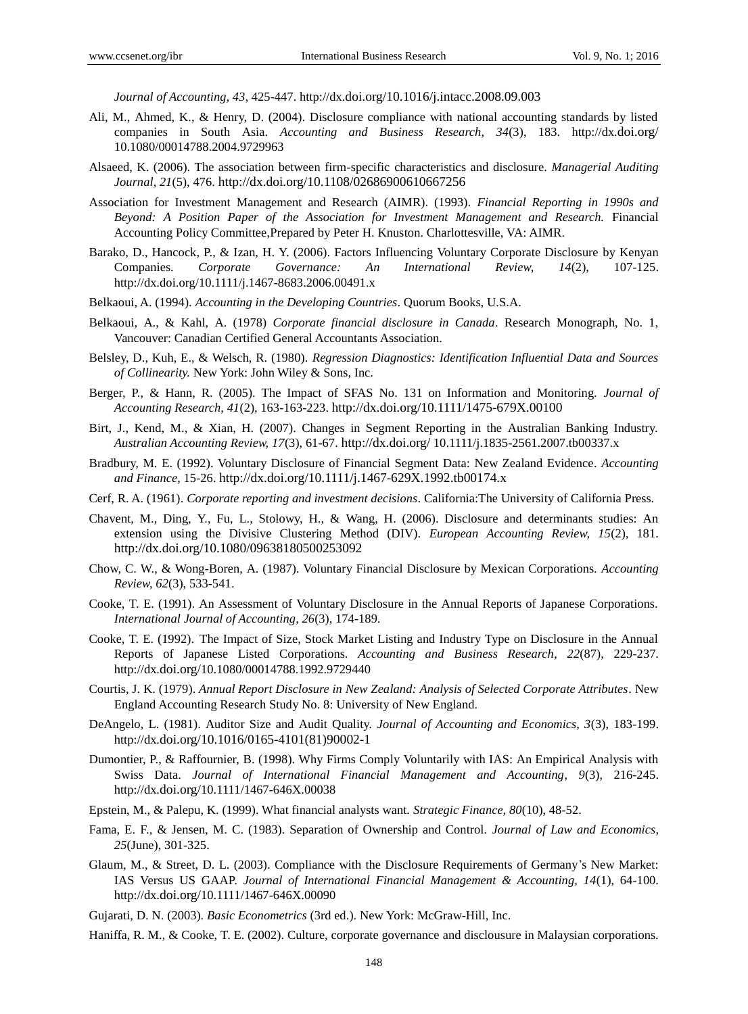*Journal of Accounting, 43*, 425-447. http://dx.[doi.org/10.1016/j.intacc.2008.09.003](http://dx.doi.org/10.1016/j.intacc.2008.09.003)

- Ali, M., Ahmed, K., & Henry, D. (2004). Disclosure compliance with national accounting standards by listed companies in South Asia. *Accounting and Business Research, 34*(3), 183. http://dx.[doi.org/](http://dx.doi.org/10.1016/j.intacc.2008.09.003) [10.1080/00014788.2004.9729963](http://dx.doi.org/10.1016/j.intacc.2008.09.003)
- Alsaeed, K. (2006). The association between firm-specific characteristics and disclosure. *Managerial Auditing Journal, 21*(5), 476. <http://dx.doi.org/10.1108/02686900610667256>
- Association for Investment Management and Research (AIMR). (1993). *Financial Reporting in 1990s and Beyond: A Position Paper of the Association for Investment Management and Research.* Financial Accounting Policy Committee,Prepared by Peter H. Knuston. Charlottesville, VA: AIMR.
- Barako, D., Hancock, P., & Izan, H. Y. (2006). Factors Influencing Voluntary Corporate Disclosure by Kenyan Companies. *Corporate Governance: An International Review, 14*(2), 107-125. http://dx.doi.org/10.1111/j.1467-8683.2006.00491.x
- Belkaoui, A. (1994). *Accounting in the Developing Countries*. Quorum Books, U.S.A.
- Belkaoui, A., & Kahl, A. (1978) *Corporate financial disclosure in Canada*. Research Monograph, No. 1, Vancouver: Canadian Certified General Accountants Association.
- Belsley, D., Kuh, E., & Welsch, R. (1980). *Regression Diagnostics: Identification Influential Data and Sources of Collinearity.* New York: John Wiley & Sons, Inc.
- Berger, P., & Hann, R. (2005). The Impact of SFAS No. 131 on Information and Monitoring. *Journal of Accounting Research, 41*(2), 163-163-223. <http://dx.doi.org/10.1111/1475-679X.00100>
- Birt, J., Kend, M., & Xian, H. (2007). Changes in Segment Reporting in the Australian Banking Industry. *Australian Accounting Review, 17*(3), 61-67. http://dx.doi.org/ [10.1111/j.1835-2561.2007.tb00337.x](http://dx.doi.org/10.1111/j.1467-8683.2006.00491.x)
- Bradbury, M. E. (1992). Voluntary Disclosure of Financial Segment Data: New Zealand Evidence. *Accounting and Finance*, 15-26. <http://dx.doi.org/10.1111/j.1467-629X.1992.tb00174.x>
- Cerf, R. A. (1961). *Corporate reporting and investment decisions*. California:The University of California Press.
- Chavent, M., Ding, Y., Fu, L., Stolowy, H., & Wang, H. (2006). Disclosure and determinants studies: An extension using the Divisive Clustering Method (DIV). *European Accounting Review, 15*(2), 181. <http://dx.doi.org/10.1080/09638180500253092>
- Chow, C. W., & Wong-Boren, A. (1987). Voluntary Financial Disclosure by Mexican Corporations. *Accounting Review, 62*(3), 533-541.
- Cooke, T. E. (1991). An Assessment of Voluntary Disclosure in the Annual Reports of Japanese Corporations. *International Journal of Accounting, 26*(3), 174-189.
- Cooke, T. E. (1992). The Impact of Size, Stock Market Listing and Industry Type on Disclosure in the Annual Reports of Japanese Listed Corporations. *Accounting and Business Research, 22*(87), 229-237. http://dx.doi.org/[10.1080/00014788.1992.9729440](http://dx.doi.org/10.1016/j.intacc.2008.09.003)
- Courtis, J. K. (1979). *Annual Report Disclosure in New Zealand: Analysis of Selected Corporate Attributes*. New England Accounting Research Study No. 8: University of New England.
- DeAngelo, L. (1981). Auditor Size and Audit Quality. *Journal of Accounting and Economics, 3*(3), 183-199. http://dx.[doi.org/10.1016/0165-4101\(81\)90002-1](http://dx.doi.org/10.1016/j.intacc.2008.09.003)
- Dumontier, P., & Raffournier, B. (1998). Why Firms Comply Voluntarily with IAS: An Empirical Analysis with Swiss Data. *Journal of International Financial Management and Accounting, 9*(3), 216-245. http://dx.doi.org/[10.1111/1467-646X.00038](http://dx.doi.org/10.1016/j.intacc.2008.09.003)
- Epstein, M., & Palepu, K. (1999). What financial analysts want. *Strategic Finance, 80*(10), 48-52.
- Fama, E. F., & Jensen, M. C. (1983). Separation of Ownership and Control. *Journal of Law and Economics, 25*(June), 301-325.
- Glaum, M., & Street, D. L. (2003). Compliance with the Disclosure Requirements of Germany's New Market: IAS Versus US GAAP. *Journal of International Financial Management & Accounting, 14*(1), 64-100. http://dx.doi.org/[10.1111/1467-646X.00090](http://dx.doi.org/10.1016/j.intacc.2008.09.003)
- Gujarati, D. N. (2003). *Basic Econometrics* (3rd ed.). New York: McGraw-Hill, Inc.
- Haniffa, R. M., & Cooke, T. E. (2002). Culture, corporate governance and disclousure in Malaysian corporations.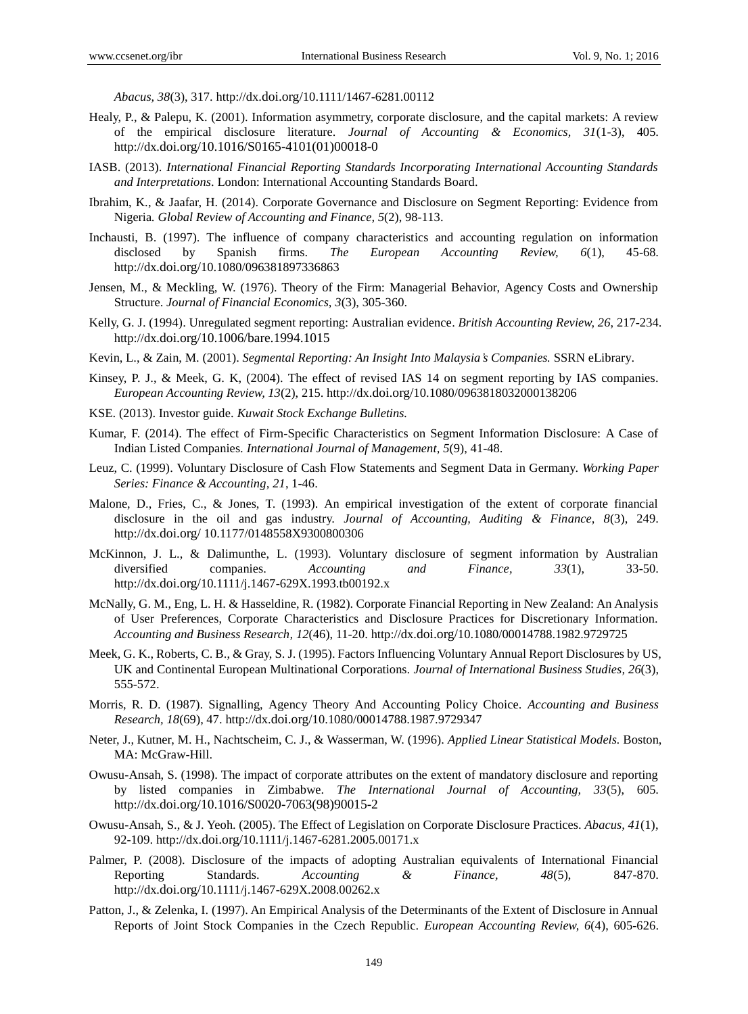*Abacus, 38*(3), 317. http://dx.doi.org/[10.1111/1467-6281.00112](http://dx.doi.org/10.1016/j.intacc.2008.09.003)

- Healy, P., & Palepu, K. (2001). Information asymmetry, corporate disclosure, and the capital markets: A review of the empirical disclosure literature. *Journal of Accounting & Economics, 31*(1-3), 405. http://dx.[doi.org/10.1016/S0165-4101\(01\)00018-0](http://dx.doi.org/10.1016/j.intacc.2008.09.003)
- IASB. (2013). *International Financial Reporting Standards Incorporating International Accounting Standards and Interpretations*. London: International Accounting Standards Board.
- Ibrahim, K., & Jaafar, H. (2014). Corporate Governance and Disclosure on Segment Reporting: Evidence from Nigeria*. Global Review of Accounting and Finance, 5*(2), 98-113.
- Inchausti, B. (1997). The influence of company characteristics and accounting regulation on information disclosed by Spanish firms. *The European Accounting Review, 6*(1), 45-68. http://dx.doi.org/[10.1080/096381897336863](http://dx.doi.org/10.1016/j.intacc.2008.09.003)
- Jensen, M., & Meckling, W. (1976). Theory of the Firm: Managerial Behavior, Agency Costs and Ownership Structure. *Journal of Financial Economics, 3*(3), 305-360.
- Kelly, G. J. (1994). Unregulated segment reporting: Australian evidence. *British Accounting Review, 26*, 217-234. http://dx.[doi.org/10.1006/bare.1994.1015](http://dx.doi.org/10.1016/j.intacc.2008.09.003)
- Kevin, L., & Zain, M. (2001). *Segmental Reporting: An Insight Into Malaysia's Companies.* SSRN eLibrary.
- Kinsey, P. J., & Meek, G. K, (2004). The effect of revised IAS 14 on segment reporting by IAS companies. *European Accounting Review, 13*(2), 215. http://dx.doi.org/[10.1080/0963818032000138206](http://dx.doi.org/10.1016/j.intacc.2008.09.003)
- KSE. (2013). Investor guide. *Kuwait Stock Exchange Bulletins.*
- Kumar, F. (2014). The effect of Firm-Specific Characteristics on Segment Information Disclosure: A Case of Indian Listed Companies. *International Journal of Management, 5*(9), 41-48.
- Leuz, C. (1999). Voluntary Disclosure of Cash Flow Statements and Segment Data in Germany. *Working Paper Series: Finance & Accounting, 21*, 1-46.
- Malone, D., Fries, C., & Jones, T. (1993). An empirical investigation of the extent of corporate financial disclosure in the oil and gas industry. *Journal of Accounting, Auditing & Finance, 8*(3), 249. http://dx.doi.org/ [10.1177/0148558X9300800306](http://dx.doi.org/10.1016/j.intacc.2008.09.003)
- McKinnon, J. L., & Dalimunthe, L. (1993). Voluntary disclosure of segment information by Australian diversified companies. *Accounting and Finance, 33*(1), 33-50. http://dx.doi.org/[10.1111/j.1467-629X.1993.tb00192.x](http://dx.doi.org/10.1016/j.intacc.2008.09.003)
- McNally, G. M., Eng, L. H. & Hasseldine, R. (1982). Corporate Financial Reporting in New Zealand: An Analysis of User Preferences, Corporate Characteristics and Disclosure Practices for Discretionary Information. *Accounting and Business Research, 12*(46), 11-20. http://dx.doi.org/[10.1080/00014788.1982.9729725](http://dx.doi.org/10.1016/j.intacc.2008.09.003)
- Meek, G. K., Roberts, C. B., & Gray, S. J. (1995). Factors Influencing Voluntary Annual Report Disclosures by US, UK and Continental European Multinational Corporations. *Journal of International Business Studies, 26*(3), 555-572.
- Morris, R. D. (1987). Signalling, Agency Theory And Accounting Policy Choice. *Accounting and Business Research, 18*(69), 47. http://dx.doi.org/[10.1080/00014788.1987.9729347](http://dx.doi.org/10.1016/j.intacc.2008.09.003)
- Neter, J., Kutner, M. H., Nachtscheim, C. J., & Wasserman, W. (1996). *Applied Linear Statistical Models.* Boston, MA: McGraw-Hill.
- Owusu-Ansah, S. (1998). The impact of corporate attributes on the extent of mandatory disclosure and reporting by listed companies in Zimbabwe. *The International Journal of Accounting, 33*(5), 605. http://dx.[doi.org/10.1016/S0020-7063\(98\)90015-2](http://dx.doi.org/10.1016/j.intacc.2008.09.003)
- Owusu-Ansah, S., & J. Yeoh. (2005). The Effect of Legislation on Corporate Disclosure Practices. *Abacus, 41*(1), 92-109. http://dx.doi.org/[10.1111/j.1467-6281.2005.00171.x](http://dx.doi.org/10.1016/j.intacc.2008.09.003)
- Palmer, P. (2008). Disclosure of the impacts of adopting Australian equivalents of International Financial Reporting Standards. *Accounting & Finance, 48*(5), 847-870. http://dx.doi.org/[10.1111/j.1467-629X.2008.00262.x](http://dx.doi.org/10.1016/j.intacc.2008.09.003)
- Patton, J., & Zelenka, I. (1997). An Empirical Analysis of the Determinants of the Extent of Disclosure in Annual Reports of Joint Stock Companies in the Czech Republic. *European Accounting Review, 6*(4), 605-626.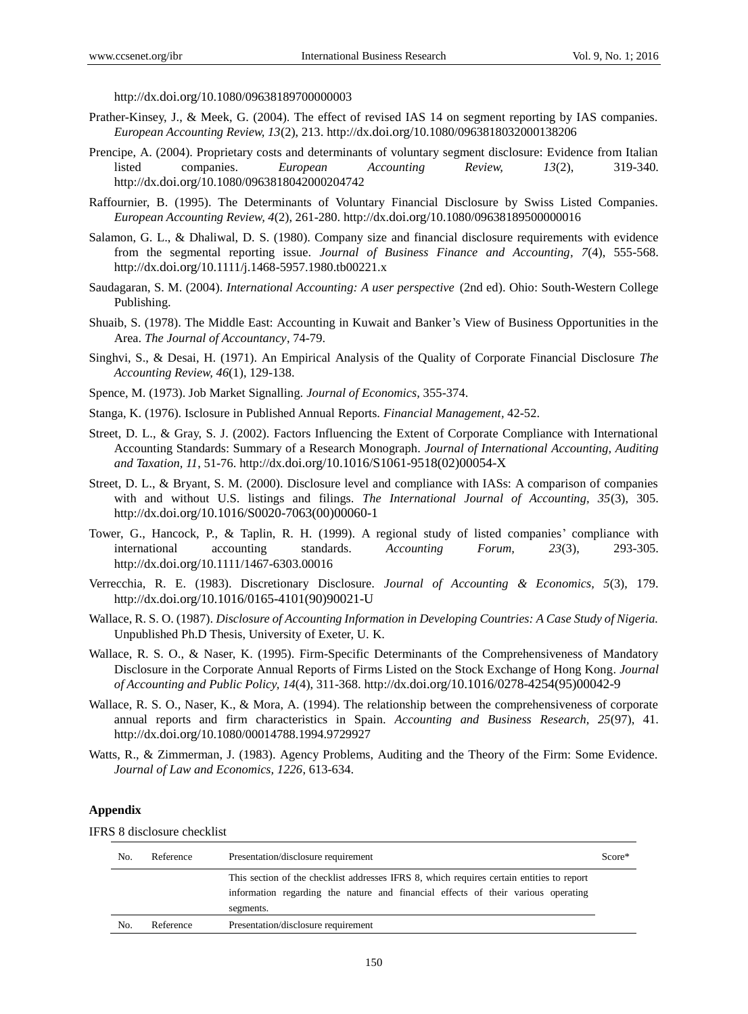http://dx.doi.org/[10.1080/09638189700000003](http://dx.doi.org/10.1016/j.intacc.2008.09.003)

- Prather-Kinsey, J., & Meek, G. (2004). The effect of revised IAS 14 on segment reporting by IAS companies. *European Accounting Review, 13*(2), 213. http://dx.doi.org/[10.1080/0963818032000138206](http://dx.doi.org/10.1016/j.intacc.2008.09.003)
- Prencipe, A. (2004). Proprietary costs and determinants of voluntary segment disclosure: Evidence from Italian listed companies. *European Accounting Review, 13*(2), 319-340. http://dx.doi.org/[10.1080/0963818042000204742](http://dx.doi.org/10.1016/j.intacc.2008.09.003)
- Raffournier, B. (1995). The Determinants of Voluntary Financial Disclosure by Swiss Listed Companies. *European Accounting Review, 4*(2), 261-280. http://dx.doi.org/[10.1080/09638189500000016](http://dx.doi.org/10.1016/j.intacc.2008.09.003)
- Salamon, G. L., & Dhaliwal, D. S. (1980). Company size and financial disclosure requirements with evidence from the segmental reporting issue. *Journal of Business Finance and Accounting, 7*(4), 555-568. http://dx.doi.org/[10.1111/j.1468-5957.1980.tb00221.x](http://dx.doi.org/10.1016/j.intacc.2008.09.003)
- Saudagaran, S. M. (2004). *International Accounting: A user perspective* (2nd ed). Ohio: South-Western College Publishing.
- Shuaib, S. (1978). The Middle East: Accounting in Kuwait and Banker's View of Business Opportunities in the Area. *The Journal of Accountancy*, 74-79.
- Singhvi, S., & Desai, H. (1971). An Empirical Analysis of the Quality of Corporate Financial Disclosure *The Accounting Review, 46*(1), 129-138.
- Spence, M. (1973). Job Market Signalling. *Journal of Economics,* 355-374.
- Stanga, K. (1976). Isclosure in Published Annual Reports. *Financial Management,* 42-52.
- Street, D. L., & Gray, S. J. (2002). Factors Influencing the Extent of Corporate Compliance with International Accounting Standards: Summary of a Research Monograph. *Journal of International Accounting, Auditing and Taxation, 11*, 51-76. http://dx.[doi.org/10.1016/S1061-9518\(02\)00054-X](http://dx.doi.org/10.1016/j.intacc.2008.09.003)
- Street, D. L., & Bryant, S. M. (2000). Disclosure level and compliance with IASs: A comparison of companies with and without U.S. listings and filings. *The International Journal of Accounting, 35*(3), 305. http://dx.[doi.org/10.1016/S0020-7063\(00\)00060-1](http://dx.doi.org/10.1016/j.intacc.2008.09.003)
- Tower, G., Hancock, P., & Taplin, R. H. (1999). A regional study of listed companies' compliance with international accounting standards. *Accounting Forum, 23*(3), 293-305. http://dx.doi.org/[10.1111/1467-6303.00016](http://dx.doi.org/10.1016/j.intacc.2008.09.003)
- Verrecchia, R. E. (1983). Discretionary Disclosure. *Journal of Accounting & Economics, 5*(3), 179. http://dx.[doi.org/10.1016/0165-4101\(90\)90021-U](http://dx.doi.org/10.1016/j.intacc.2008.09.003)
- Wallace, R. S. O. (1987). *Disclosure of Accounting Information in Developing Countries: A Case Study of Nigeria.* Unpublished Ph.D Thesis, University of Exeter, U. K.
- Wallace, R. S. O., & Naser, K. (1995). Firm-Specific Determinants of the Comprehensiveness of Mandatory Disclosure in the Corporate Annual Reports of Firms Listed on the Stock Exchange of Hong Kong. *Journal of Accounting and Public Policy, 14*(4), 311-368. http://dx.[doi.org/10.1016/0278-4254\(95\)00042-9](http://dx.doi.org/10.1016/j.intacc.2008.09.003)
- Wallace, R. S. O., Naser, K., & Mora, A. (1994). The relationship between the comprehensiveness of corporate annual reports and firm characteristics in Spain. *Accounting and Business Research, 25*(97), 41. http://dx.doi.org/[10.1080/00014788.1994.9729927](http://dx.doi.org/10.1016/j.intacc.2008.09.003)
- Watts, R., & Zimmerman, J. (1983). Agency Problems, Auditing and the Theory of the Firm: Some Evidence. *Journal of Law and Economics, 1226*, 613-634.

#### **Appendix**

IFRS 8 disclosure checklist

| No. | Reference | Presentation/disclosure requirement                                                                                                                                            | Score* |
|-----|-----------|--------------------------------------------------------------------------------------------------------------------------------------------------------------------------------|--------|
|     |           | This section of the checklist addresses IFRS 8, which requires certain entities to report<br>information regarding the nature and financial effects of their various operating |        |
|     |           | segments.                                                                                                                                                                      |        |
| No. | Reference | Presentation/disclosure requirement                                                                                                                                            |        |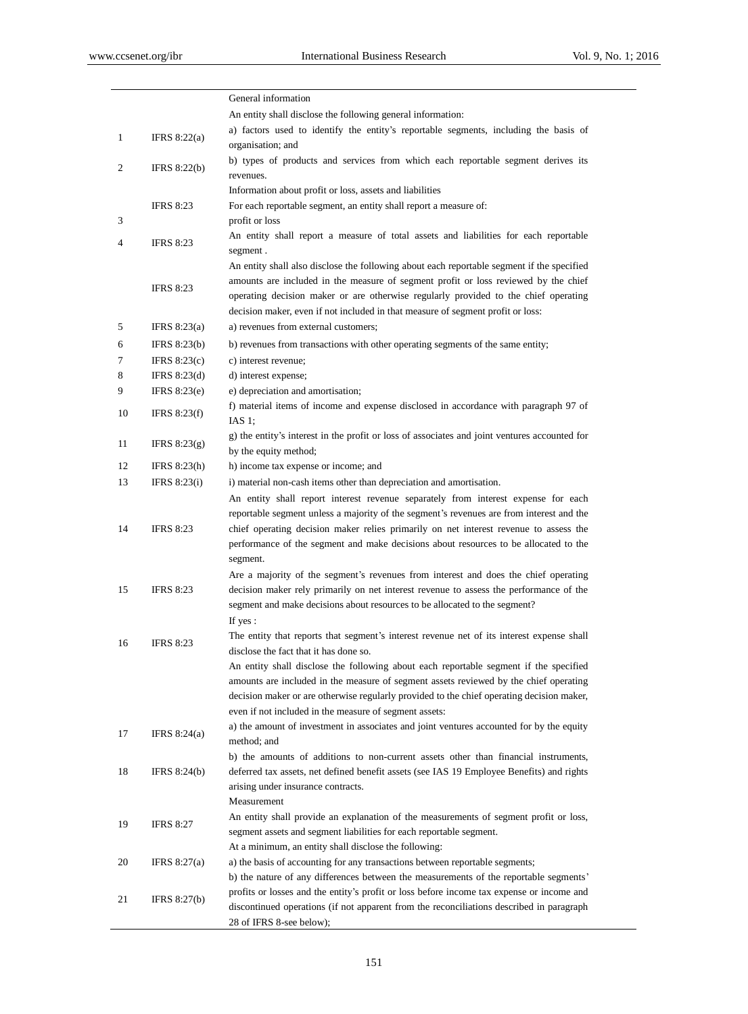|              |                     | General information                                                                                                                                                                                                                                                                                                                                                        |
|--------------|---------------------|----------------------------------------------------------------------------------------------------------------------------------------------------------------------------------------------------------------------------------------------------------------------------------------------------------------------------------------------------------------------------|
|              |                     | An entity shall disclose the following general information:                                                                                                                                                                                                                                                                                                                |
| $\mathbf{1}$ | IFRS $8:22(a)$      | a) factors used to identify the entity's reportable segments, including the basis of<br>organisation; and                                                                                                                                                                                                                                                                  |
| 2            | IFRS $8:22(b)$      | b) types of products and services from which each reportable segment derives its<br>revenues.                                                                                                                                                                                                                                                                              |
|              |                     | Information about profit or loss, assets and liabilities                                                                                                                                                                                                                                                                                                                   |
|              | <b>IFRS 8:23</b>    | For each reportable segment, an entity shall report a measure of:                                                                                                                                                                                                                                                                                                          |
| 3            |                     | profit or loss                                                                                                                                                                                                                                                                                                                                                             |
| 4            | <b>IFRS 8:23</b>    | An entity shall report a measure of total assets and liabilities for each reportable<br>segment.                                                                                                                                                                                                                                                                           |
|              |                     | An entity shall also disclose the following about each reportable segment if the specified                                                                                                                                                                                                                                                                                 |
|              | <b>IFRS 8:23</b>    | amounts are included in the measure of segment profit or loss reviewed by the chief<br>operating decision maker or are otherwise regularly provided to the chief operating<br>decision maker, even if not included in that measure of segment profit or loss:                                                                                                              |
| 5            | IFRS $8:23(a)$      | a) revenues from external customers;                                                                                                                                                                                                                                                                                                                                       |
| 6            | IFRS $8:23(b)$      | b) revenues from transactions with other operating segments of the same entity;                                                                                                                                                                                                                                                                                            |
| 7            | IFRS $8:23(c)$      | c) interest revenue;                                                                                                                                                                                                                                                                                                                                                       |
| 8            | IFRS $8:23(d)$      | d) interest expense;                                                                                                                                                                                                                                                                                                                                                       |
| 9            | IFRS $8:23(e)$      | e) depreciation and amortisation;                                                                                                                                                                                                                                                                                                                                          |
| 10           | IFRS $8:23(f)$      | f) material items of income and expense disclosed in accordance with paragraph 97 of<br>IAS $1$ ;                                                                                                                                                                                                                                                                          |
| 11           | IFRS $8:23(g)$      | g) the entity's interest in the profit or loss of associates and joint ventures accounted for<br>by the equity method;                                                                                                                                                                                                                                                     |
| 12           | IFRS $8:23(h)$      | h) income tax expense or income; and                                                                                                                                                                                                                                                                                                                                       |
| 13           | IFRS $8:23(i)$      | i) material non-cash items other than depreciation and amortisation.                                                                                                                                                                                                                                                                                                       |
| 14           | <b>IFRS 8:23</b>    | An entity shall report interest revenue separately from interest expense for each<br>reportable segment unless a majority of the segment's revenues are from interest and the<br>chief operating decision maker relies primarily on net interest revenue to assess the<br>performance of the segment and make decisions about resources to be allocated to the<br>segment. |
| 15           | <b>IFRS 8:23</b>    | Are a majority of the segment's revenues from interest and does the chief operating<br>decision maker rely primarily on net interest revenue to assess the performance of the<br>segment and make decisions about resources to be allocated to the segment?<br>If yes:                                                                                                     |
| 16           | <b>IFRS 8:23</b>    | The entity that reports that segment's interest revenue net of its interest expense shall<br>disclose the fact that it has done so.                                                                                                                                                                                                                                        |
|              |                     | An entity shall disclose the following about each reportable segment if the specified<br>amounts are included in the measure of segment assets reviewed by the chief operating<br>decision maker or are otherwise regularly provided to the chief operating decision maker,<br>even if not included in the measure of segment assets:                                      |
| 17           | IFRS $8:24(a)$      | a) the amount of investment in associates and joint ventures accounted for by the equity<br>method; and                                                                                                                                                                                                                                                                    |
| 18           | IFRS $8:24(b)$      | b) the amounts of additions to non-current assets other than financial instruments,<br>deferred tax assets, net defined benefit assets (see IAS 19 Employee Benefits) and rights<br>arising under insurance contracts.                                                                                                                                                     |
| 19           | <b>IFRS 8:27</b>    | Measurement<br>An entity shall provide an explanation of the measurements of segment profit or loss,<br>segment assets and segment liabilities for each reportable segment.<br>At a minimum, an entity shall disclose the following:                                                                                                                                       |
| 20           | IFRS $8:27(a)$      | a) the basis of accounting for any transactions between reportable segments;<br>b) the nature of any differences between the measurements of the reportable segments'                                                                                                                                                                                                      |
| 21           | <b>IFRS 8:27(b)</b> | profits or losses and the entity's profit or loss before income tax expense or income and<br>discontinued operations (if not apparent from the reconciliations described in paragraph<br>28 of IFRS 8-see below);                                                                                                                                                          |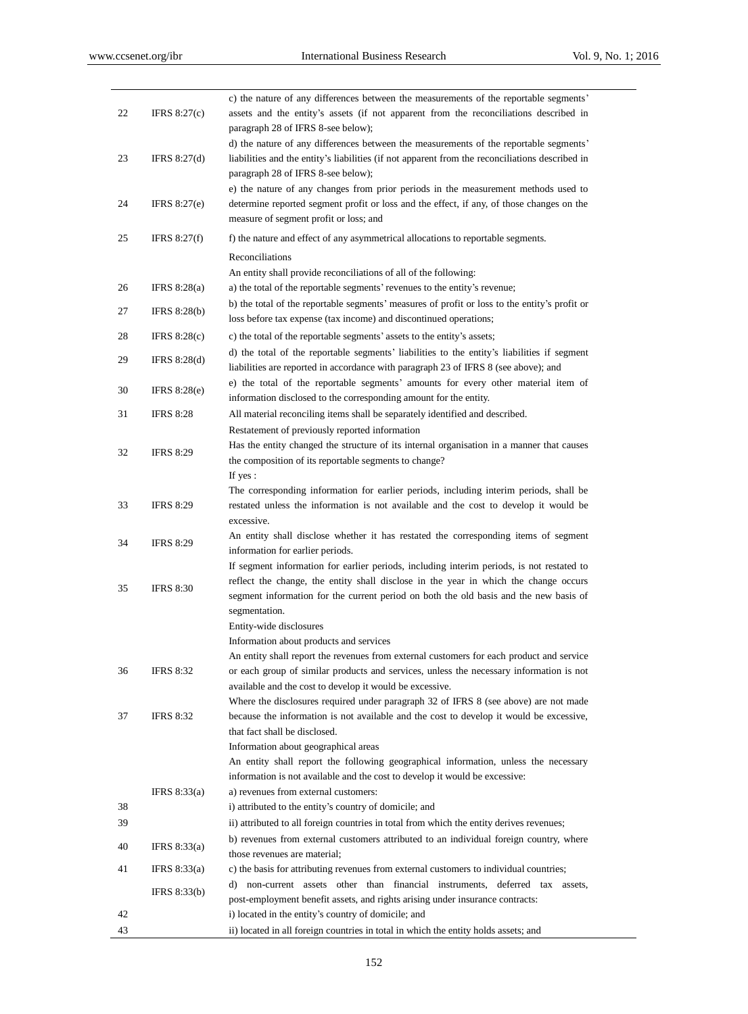| 22 | IFRS $8:27(c)$      | c) the nature of any differences between the measurements of the reportable segments'<br>assets and the entity's assets (if not apparent from the reconciliations described in      |
|----|---------------------|-------------------------------------------------------------------------------------------------------------------------------------------------------------------------------------|
|    |                     | paragraph 28 of IFRS 8-see below);                                                                                                                                                  |
|    |                     | d) the nature of any differences between the measurements of the reportable segments'                                                                                               |
| 23 | IFRS $8:27(d)$      | liabilities and the entity's liabilities (if not apparent from the reconciliations described in<br>paragraph 28 of IFRS 8-see below);                                               |
|    |                     | e) the nature of any changes from prior periods in the measurement methods used to                                                                                                  |
| 24 | IFRS $8:27(e)$      | determine reported segment profit or loss and the effect, if any, of those changes on the                                                                                           |
|    |                     | measure of segment profit or loss; and                                                                                                                                              |
| 25 | IFRS $8:27(f)$      | f) the nature and effect of any asymmetrical allocations to reportable segments.                                                                                                    |
|    |                     | Reconciliations                                                                                                                                                                     |
|    |                     | An entity shall provide reconciliations of all of the following:                                                                                                                    |
| 26 | IFRS $8:28(a)$      | a) the total of the reportable segments' revenues to the entity's revenue;                                                                                                          |
| 27 | <b>IFRS 8:28(b)</b> | b) the total of the reportable segments' measures of profit or loss to the entity's profit or<br>loss before tax expense (tax income) and discontinued operations;                  |
| 28 | IFRS $8:28(c)$      | c) the total of the reportable segments' assets to the entity's assets;                                                                                                             |
| 29 | IFRS 8:28(d)        | d) the total of the reportable segments' liabilities to the entity's liabilities if segment                                                                                         |
|    |                     | liabilities are reported in accordance with paragraph 23 of IFRS 8 (see above); and                                                                                                 |
| 30 | <b>IFRS 8:28(e)</b> | e) the total of the reportable segments' amounts for every other material item of                                                                                                   |
|    |                     | information disclosed to the corresponding amount for the entity.                                                                                                                   |
| 31 | <b>IFRS 8:28</b>    | All material reconciling items shall be separately identified and described.                                                                                                        |
|    |                     | Restatement of previously reported information<br>Has the entity changed the structure of its internal organisation in a manner that causes                                         |
| 32 | <b>IFRS 8:29</b>    | the composition of its reportable segments to change?                                                                                                                               |
|    |                     | If yes:                                                                                                                                                                             |
|    |                     | The corresponding information for earlier periods, including interim periods, shall be                                                                                              |
| 33 | <b>IFRS 8:29</b>    | restated unless the information is not available and the cost to develop it would be                                                                                                |
|    |                     | excessive.                                                                                                                                                                          |
| 34 | <b>IFRS 8:29</b>    | An entity shall disclose whether it has restated the corresponding items of segment<br>information for earlier periods.                                                             |
|    |                     | If segment information for earlier periods, including interim periods, is not restated to                                                                                           |
|    |                     | reflect the change, the entity shall disclose in the year in which the change occurs                                                                                                |
| 35 | <b>IFRS 8:30</b>    | segment information for the current period on both the old basis and the new basis of                                                                                               |
|    |                     | segmentation.                                                                                                                                                                       |
|    |                     | Entity-wide disclosures                                                                                                                                                             |
|    |                     | Information about products and services                                                                                                                                             |
| 36 | <b>IFRS 8:32</b>    | An entity shall report the revenues from external customers for each product and service<br>or each group of similar products and services, unless the necessary information is not |
|    |                     | available and the cost to develop it would be excessive.                                                                                                                            |
|    |                     | Where the disclosures required under paragraph 32 of IFRS 8 (see above) are not made                                                                                                |
| 37 | <b>IFRS 8:32</b>    | because the information is not available and the cost to develop it would be excessive,                                                                                             |
|    |                     | that fact shall be disclosed.                                                                                                                                                       |
|    |                     | Information about geographical areas                                                                                                                                                |
|    |                     | An entity shall report the following geographical information, unless the necessary<br>information is not available and the cost to develop it would be excessive:                  |
|    | IFRS $8:33(a)$      | a) revenues from external customers:                                                                                                                                                |
| 38 |                     | i) attributed to the entity's country of domicile; and                                                                                                                              |
| 39 |                     | ii) attributed to all foreign countries in total from which the entity derives revenues;                                                                                            |
| 40 | IFRS $8:33(a)$      | b) revenues from external customers attributed to an individual foreign country, where                                                                                              |
|    |                     | those revenues are material;                                                                                                                                                        |
| 41 | IFRS $8:33(a)$      | c) the basis for attributing revenues from external customers to individual countries;                                                                                              |
|    | IFRS 8:33(b)        | d) non-current assets other than financial instruments, deferred tax assets,<br>post-employment benefit assets, and rights arising under insurance contracts:                       |
| 42 |                     | i) located in the entity's country of domicile; and                                                                                                                                 |
| 43 |                     | ii) located in all foreign countries in total in which the entity holds assets; and                                                                                                 |